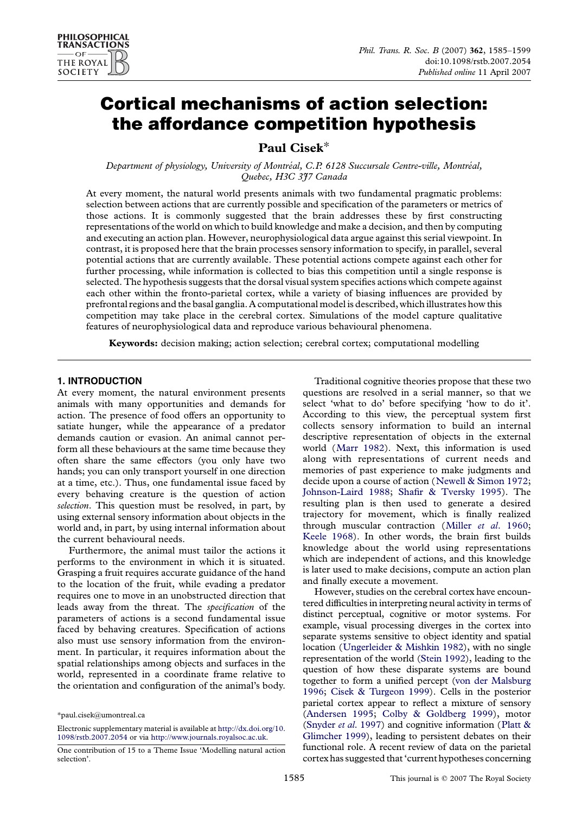

# Cortical mechanisms of action selection: the affordance competition hypothesis

Paul Cisek\*

Department of physiology, University of Montréal, C.P. 6128 Succursale Centre-ville, Montréal, Ouebec, H3C 377 Canada

At every moment, the natural world presents animals with two fundamental pragmatic problems: selection between actions that are currently possible and specification of the parameters or metrics of those actions. It is commonly suggested that the brain addresses these by first constructing representations of the world on which to build knowledge and make a decision, and then by computing and executing an action plan. However, neurophysiological data argue against this serial viewpoint. In contrast, it is proposed here that the brain processes sensory information to specify, in parallel, several potential actions that are currently available. These potential actions compete against each other for further processing, while information is collected to bias this competition until a single response is selected. The hypothesis suggests that the dorsal visual system specifies actions which compete against each other within the fronto-parietal cortex, while a variety of biasing influences are provided by prefrontal regions and the basal ganglia. A computational model is described, which illustrates how this competition may take place in the cerebral cortex. Simulations of the model capture qualitative features of neurophysiological data and reproduce various behavioural phenomena.

Keywords: decision making; action selection; cerebral cortex; computational modelling

### 1. INTRODUCTION

At every moment, the natural environment presents animals with many opportunities and demands for action. The presence of food offers an opportunity to satiate hunger, while the appearance of a predator demands caution or evasion. An animal cannot perform all these behaviours at the same time because they often share the same effectors (you only have two hands; you can only transport yourself in one direction at a time, etc.). Thus, one fundamental issue faced by every behaving creature is the question of action selection. This question must be resolved, in part, by using external sensory information about objects in the world and, in part, by using internal information about the current behavioural needs.

Furthermore, the animal must tailor the actions it performs to the environment in which it is situated. Grasping a fruit requires accurate guidance of the hand to the location of the fruit, while evading a predator requires one to move in an unobstructed direction that leads away from the threat. The specification of the parameters of actions is a second fundamental issue faced by behaving creatures. Specification of actions also must use sensory information from the environment. In particular, it requires information about the spatial relationships among objects and surfaces in the world, represented in a coordinate frame relative to the orientation and configuration of the animal's body.

Electronic supplementary material is available at [http://dx.doi.org/10.](http://dx.doi.org/10.1098/rstb.2007.2054) [1098/rstb.2007.2054](http://dx.doi.org/10.1098/rstb.2007.2054) or via <http://www.journals.royalsoc.ac.uk>.

Traditional cognitive theories propose that these two questions are resolved in a serial manner, so that we select 'what to do' before specifying 'how to do it'. According to this view, the perceptual system first collects sensory information to build an internal descriptive representation of objects in the external world ([Marr 1982\)](#page-12-0). Next, this information is used along with representations of current needs and memories of past experience to make judgments and decide upon a course of action ([Newell & Simon 1972;](#page-13-0) [Johnson-Laird 1988;](#page-12-0) [Shafir & Tversky 1995](#page-13-0)). The resulting plan is then used to generate a desired trajectory for movement, which is finally realized through muscular contraction (Miller et al[. 1960;](#page-13-0) [Keele 1968](#page-12-0)). In other words, the brain first builds knowledge about the world using representations which are independent of actions, and this knowledge is later used to make decisions, compute an action plan and finally execute a movement.

However, studies on the cerebral cortex have encountered difficulties in interpreting neural activity in terms of distinct perceptual, cognitive or motor systems. For example, visual processing diverges in the cortex into separate systems sensitive to object identity and spatial location ([Ungerleider & Mishkin 1982\)](#page-14-0), with no single representation of the world [\(Stein 1992\)](#page-14-0), leading to the question of how these disparate systems are bound together to form a unified percept [\(von der Malsburg](#page-14-0) [1996;](#page-14-0) [Cisek & Turgeon 1999](#page-11-0)). Cells in the posterior parietal cortex appear to reflect a mixture of sensory [\(Andersen 1995;](#page-10-0) [Colby & Goldberg 1999](#page-11-0)), motor [\(Snyder](#page-13-0) et al. 1997) and cognitive information ([Platt &](#page-13-0) [Glimcher 1999\)](#page-13-0), leading to persistent debates on their functional role. A recent review of data on the parietal cortex has suggested that 'current hypotheses concerning

<sup>\*</sup>paul.cisek@umontreal.ca

One contribution of 15 to a Theme Issue 'Modelling natural action selection'.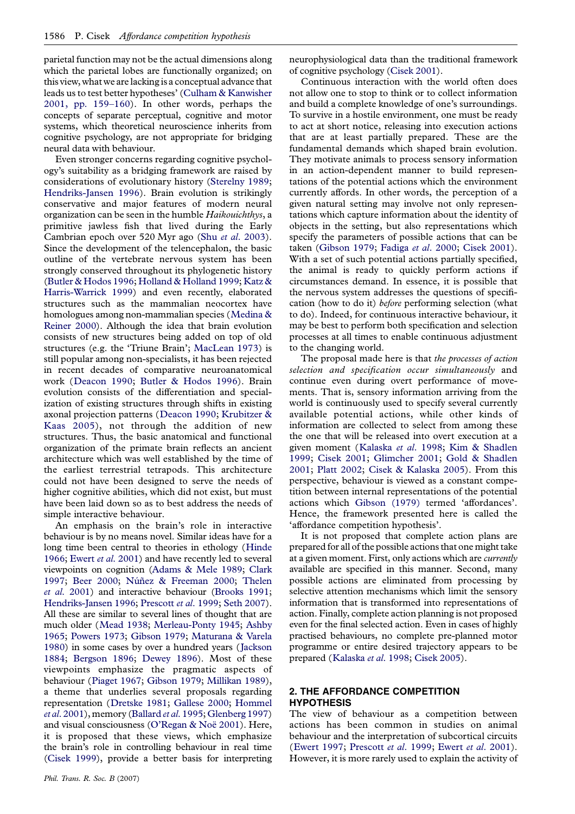parietal function may not be the actual dimensions along which the parietal lobes are functionally organized; on this view, what we are lacking isa conceptual advance that leads us to test better hypotheses' ([Culham & Kanwisher](#page-11-0) [2001, pp. 159–160\)](#page-11-0). In other words, perhaps the concepts of separate perceptual, cognitive and motor systems, which theoretical neuroscience inherits from cognitive psychology, are not appropriate for bridging neural data with behaviour.

Even stronger concerns regarding cognitive psychology's suitability as a bridging framework are raised by considerations of evolutionary history ([Sterelny 1989;](#page-14-0) [Hendriks-Jansen 1996](#page-12-0)). Brain evolution is strikingly conservative and major features of modern neural organization can be seen in the humble Haikouichthys, a primitive jawless fish that lived during the Early Cambrian epoch over 520 Myr ago (Shu et al[. 2003\)](#page-13-0). Since the development of the telencephalon, the basic outline of the vertebrate nervous system has been strongly conserved throughout its phylogenetic history [\(Butler & Hodos 1996;](#page-11-0) [Holland & Holland 1999](#page-12-0); [Katz &](#page-12-0) [Harris-Warrick 1999](#page-12-0)) and even recently, elaborated structures such as the mammalian neocortex have homologues among non-mammalian species ([Medina &](#page-13-0) [Reiner 2000](#page-13-0)). Although the idea that brain evolution consists of new structures being added on top of old structures (e.g. the 'Triune Brain'; [MacLean 1973\)](#page-12-0) is still popular among non-specialists, it has been rejected in recent decades of comparative neuroanatomical work ([Deacon 1990](#page-11-0); [Butler & Hodos 1996\)](#page-11-0). Brain evolution consists of the differentiation and specialization of existing structures through shifts in existing axonal projection patterns ([Deacon 1990;](#page-11-0) [Krubitzer &](#page-12-0) [Kaas 2005\)](#page-12-0), not through the addition of new structures. Thus, the basic anatomical and functional organization of the primate brain reflects an ancient architecture which was well established by the time of the earliest terrestrial tetrapods. This architecture could not have been designed to serve the needs of higher cognitive abilities, which did not exist, but must have been laid down so as to best address the needs of simple interactive behaviour.

An emphasis on the brain's role in interactive behaviour is by no means novel. Similar ideas have for a long time been central to theories in ethology ([Hinde](#page-12-0) [1966;](#page-12-0) Ewert et al[. 2001\)](#page-11-0) and have recently led to several viewpoints on cognition ([Adams & Mele 1989;](#page-10-0) [Clark](#page-11-0) [1997;](#page-11-0) [Beer 2000](#page-10-0); Núñez & Freeman 2000; [Thelen](#page-14-0) et al[. 2001](#page-14-0)) and interactive behaviour [\(Brooks 1991;](#page-11-0) [Hendriks-Jansen 1996](#page-12-0); [Prescott](#page-13-0) et al. 1999; [Seth 2007\)](#page-13-0). All these are similar to several lines of thought that are much older ([Mead 1938;](#page-13-0) [Merleau-Ponty 1945](#page-13-0); [Ashby](#page-10-0) [1965;](#page-10-0) [Powers 1973](#page-13-0); [Gibson 1979;](#page-11-0) [Maturana & Varela](#page-12-0) [1980\)](#page-12-0) in some cases by over a hundred years ([Jackson](#page-12-0) [1884](#page-12-0); [Bergson 1896](#page-10-0); [Dewey 1896](#page-11-0)). Most of these viewpoints emphasize the pragmatic aspects of behaviour ([Piaget 1967](#page-13-0); [Gibson 1979](#page-11-0); [Millikan 1989\)](#page-13-0), a theme that underlies several proposals regarding representation ([Dretske 1981](#page-11-0); [Gallese 2000;](#page-11-0) [Hommel](#page-12-0) et al[. 2001](#page-12-0)), memory [\(Ballard](#page-10-0) et al. 1995; [Glenberg 1997\)](#page-11-0) and visual consciousness (O'Regan & Noë 2001). Here, it is proposed that these views, which emphasize the brain's role in controlling behaviour in real time [\(Cisek 1999\)](#page-11-0), provide a better basis for interpreting

neurophysiological data than the traditional framework of cognitive psychology ([Cisek 2001\)](#page-11-0).

Continuous interaction with the world often does not allow one to stop to think or to collect information and build a complete knowledge of one's surroundings. To survive in a hostile environment, one must be ready to act at short notice, releasing into execution actions that are at least partially prepared. These are the fundamental demands which shaped brain evolution. They motivate animals to process sensory information in an action-dependent manner to build representations of the potential actions which the environment currently affords. In other words, the perception of a given natural setting may involve not only representations which capture information about the identity of objects in the setting, but also representations which specify the parameters of possible actions that can be taken [\(Gibson 1979](#page-11-0); [Fadiga](#page-11-0) et al. 2000; [Cisek 2001\)](#page-11-0). With a set of such potential actions partially specified, the animal is ready to quickly perform actions if circumstances demand. In essence, it is possible that the nervous system addresses the questions of specification (how to do it) before performing selection (what to do). Indeed, for continuous interactive behaviour, it may be best to perform both specification and selection processes at all times to enable continuous adjustment to the changing world.

The proposal made here is that the processes of action selection and specification occur simultaneously and continue even during overt performance of movements. That is, sensory information arriving from the world is continuously used to specify several currently available potential actions, while other kinds of information are collected to select from among these the one that will be released into overt execution at a given moment ([Kalaska](#page-12-0) et al. 1998; [Kim & Shadlen](#page-12-0) [1999](#page-12-0); [Cisek 2001;](#page-11-0) [Glimcher 2001](#page-12-0); [Gold & Shadlen](#page-12-0) [2001](#page-12-0); [Platt 2002;](#page-13-0) [Cisek & Kalaska 2005](#page-11-0)). From this perspective, behaviour is viewed as a constant competition between internal representations of the potential actions which [Gibson \(1979\)](#page-11-0) termed 'affordances'. Hence, the framework presented here is called the 'affordance competition hypothesis'.

It is not proposed that complete action plans are prepared for all of the possible actions that one might take at a given moment. First, only actions which are currently available are specified in this manner. Second, many possible actions are eliminated from processing by selective attention mechanisms which limit the sensory information that is transformed into representations of action. Finally, complete action planning is not proposed even for the final selected action. Even in cases of highly practised behaviours, no complete pre-planned motor programme or entire desired trajectory appears to be prepared ([Kalaska](#page-12-0) et al. 1998; [Cisek 2005\)](#page-11-0).

### 2. THE AFFORDANCE COMPETITION **HYPOTHESIS**

The view of behaviour as a competition between actions has been common in studies on animal behaviour and the interpretation of subcortical circuits ([Ewert 1997](#page-11-0); [Prescott](#page-13-0) et al. 1999; Ewert et al[. 2001\)](#page-11-0). However, it is more rarely used to explain the activity of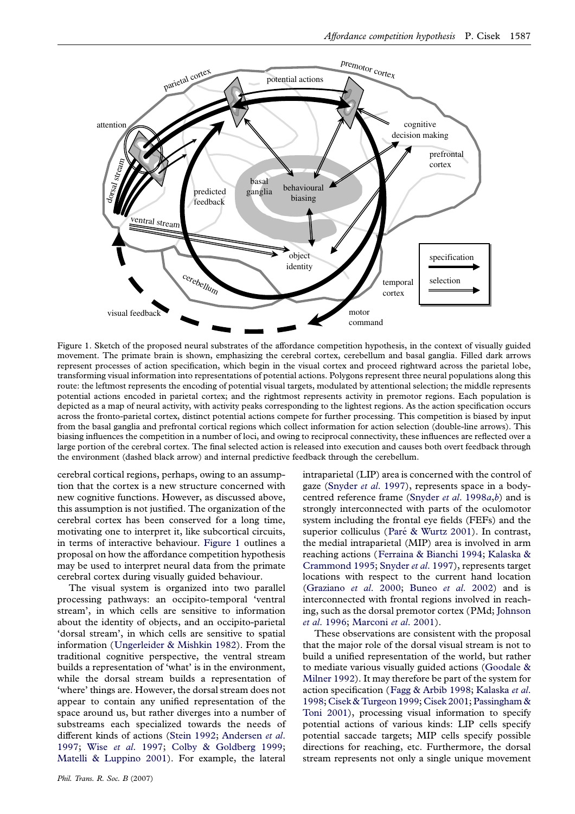<span id="page-2-0"></span>

Figure 1. Sketch of the proposed neural substrates of the affordance competition hypothesis, in the context of visually guided movement. The primate brain is shown, emphasizing the cerebral cortex, cerebellum and basal ganglia. Filled dark arrows represent processes of action specification, which begin in the visual cortex and proceed rightward across the parietal lobe, transforming visual information into representations of potential actions. Polygons represent three neural populations along this route: the leftmost represents the encoding of potential visual targets, modulated by attentional selection; the middle represents potential actions encoded in parietal cortex; and the rightmost represents activity in premotor regions. Each population is depicted as a map of neural activity, with activity peaks corresponding to the lightest regions. As the action specification occurs across the fronto-parietal cortex, distinct potential actions compete for further processing. This competition is biased by input from the basal ganglia and prefrontal cortical regions which collect information for action selection (double-line arrows). This biasing influences the competition in a number of loci, and owing to reciprocal connectivity, these influences are reflected over a large portion of the cerebral cortex. The final selected action is released into execution and causes both overt feedback through the environment (dashed black arrow) and internal predictive feedback through the cerebellum.

cerebral cortical regions, perhaps, owing to an assumption that the cortex is a new structure concerned with new cognitive functions. However, as discussed above, this assumption is not justified. The organization of the cerebral cortex has been conserved for a long time, motivating one to interpret it, like subcortical circuits, in terms of interactive behaviour. Figure 1 outlines a proposal on how the affordance competition hypothesis may be used to interpret neural data from the primate cerebral cortex during visually guided behaviour.

The visual system is organized into two parallel processing pathways: an occipito-temporal 'ventral stream', in which cells are sensitive to information about the identity of objects, and an occipito-parietal 'dorsal stream', in which cells are sensitive to spatial information ([Ungerleider & Mishkin 1982\)](#page-14-0). From the traditional cognitive perspective, the ventral stream builds a representation of 'what' is in the environment, while the dorsal stream builds a representation of 'where' things are. However, the dorsal stream does not appear to contain any unified representation of the space around us, but rather diverges into a number of substreams each specialized towards the needs of different kinds of actions ([Stein 1992](#page-14-0); [Andersen](#page-10-0) et al. [1997](#page-10-0); Wise et al[. 1997;](#page-14-0) [Colby & Goldberg 1999](#page-11-0); [Matelli & Luppino 2001\)](#page-12-0). For example, the lateral

intraparietal (LIP) area is concerned with the control of gaze [\(Snyder](#page-13-0) et al. 1997), represents space in a body-centred reference frame [\(Snyder](#page-14-0) et al. 1998a,[b](#page-14-0)) and is strongly interconnected with parts of the oculomotor system including the frontal eye fields (FEFs) and the superior colliculus (Paré [& Wurtz 2001](#page-13-0)). In contrast, the medial intraparietal (MIP) area is involved in arm reaching actions ([Ferraina & Bianchi 1994](#page-11-0); [Kalaska &](#page-12-0) [Crammond 1995](#page-12-0); [Snyder](#page-13-0) et al. 1997), represents target locations with respect to the current hand location [\(Graziano](#page-12-0) et al. 2000; Buneo et al[. 2002](#page-11-0)) and is interconnected with frontal regions involved in reaching, such as the dorsal premotor cortex (PMd; [Johnson](#page-12-0) et al[. 1996;](#page-12-0) [Marconi](#page-12-0) et al. 2001).

These observations are consistent with the proposal that the major role of the dorsal visual stream is not to build a unified representation of the world, but rather to mediate various visually guided actions ([Goodale &](#page-12-0) [Milner 1992](#page-12-0)). It may therefore be part of the system for action specification ([Fagg & Arbib 1998](#page-11-0); [Kalaska](#page-12-0) et al. [1998;](#page-12-0) [Cisek & Turgeon 1999;](#page-11-0) [Cisek 2001](#page-11-0); [Passingham &](#page-13-0) [Toni 2001](#page-13-0)), processing visual information to specify potential actions of various kinds: LIP cells specify potential saccade targets; MIP cells specify possible directions for reaching, etc. Furthermore, the dorsal stream represents not only a single unique movement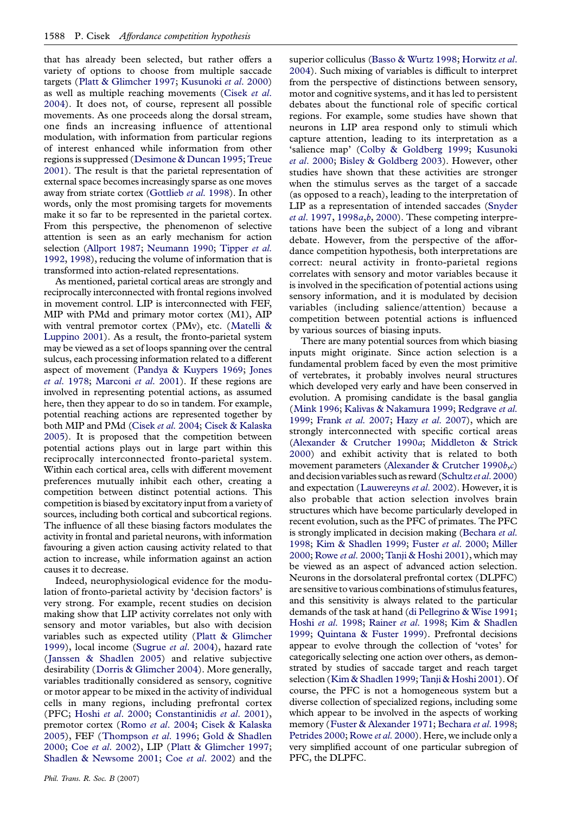that has already been selected, but rather offers a variety of options to choose from multiple saccade targets ([Platt & Glimcher 1997;](#page-13-0) [Kusunoki](#page-12-0) et al. 2000) as well as multiple reaching movements ([Cisek](#page-11-0) et al. [2004](#page-11-0)). It does not, of course, represent all possible movements. As one proceeds along the dorsal stream, one finds an increasing influence of attentional modulation, with information from particular regions of interest enhanced while information from other regions is suppressed ([Desimone & Duncan 1995](#page-11-0); [Treue](#page-14-0) [2001\)](#page-14-0). The result is that the parietal representation of external space becomes increasingly sparse as one moves away from striate cortex ([Gottlieb](#page-12-0) et al. 1998). In other words, only the most promising targets for movements make it so far to be represented in the parietal cortex. From this perspective, the phenomenon of selective attention is seen as an early mechanism for action selection ([Allport 1987;](#page-10-0) [Neumann 1990;](#page-13-0) [Tipper](#page-14-0) et al. [1992,](#page-14-0) [1998\)](#page-14-0), reducing the volume of information that is transformed into action-related representations.

As mentioned, parietal cortical areas are strongly and reciprocally interconnected with frontal regions involved in movement control. LIP is interconnected with FEF, MIP with PMd and primary motor cortex (M1), AIP with ventral premotor cortex (PMv), etc. ([Matelli &](#page-12-0) [Luppino 2001](#page-12-0)). As a result, the fronto-parietal system may be viewed as a set of loops spanning over the central sulcus, each processing information related to a different aspect of movement ([Pandya & Kuypers 1969;](#page-13-0) [Jones](#page-12-0) et al[. 1978](#page-12-0); [Marconi](#page-12-0) et al. 2001). If these regions are involved in representing potential actions, as assumed here, then they appear to do so in tandem. For example, potential reaching actions are represented together by both MIP and PMd (Cisek et al[. 2004](#page-11-0); [Cisek & Kalaska](#page-11-0) [2005\)](#page-11-0). It is proposed that the competition between potential actions plays out in large part within this reciprocally interconnected fronto-parietal system. Within each cortical area, cells with different movement preferences mutually inhibit each other, creating a competition between distinct potential actions. This competition is biased by excitatory input from a variety of sources, including both cortical and subcortical regions. The influence of all these biasing factors modulates the activity in frontal and parietal neurons, with information favouring a given action causing activity related to that action to increase, while information against an action causes it to decrease.

Indeed, neurophysiological evidence for the modulation of fronto-parietal activity by 'decision factors' is very strong. For example, recent studies on decision making show that LIP activity correlates not only with sensory and motor variables, but also with decision variables such as expected utility ([Platt & Glimcher](#page-13-0) [1999](#page-13-0)), local income ([Sugrue](#page-14-0) et al. 2004), hazard rate ([Janssen & Shadlen 2005](#page-12-0)) and relative subjective desirability ([Dorris & Glimcher 2004](#page-11-0)). More generally, variables traditionally considered as sensory, cognitive or motor appear to be mixed in the activity of individual cells in many regions, including prefrontal cortex (PFC; Hoshi et al[. 2000](#page-12-0); [Constantinidis](#page-11-0) et al. 2001), premotor cortex (Romo et al[. 2004;](#page-13-0) [Cisek & Kalaska](#page-11-0) [2005](#page-11-0)), FEF ([Thompson](#page-14-0) et al. 1996; [Gold & Shadlen](#page-12-0) [2000](#page-12-0); Coe et al[. 2002\)](#page-11-0), LIP ([Platt & Glimcher 1997;](#page-13-0) [Shadlen & Newsome 2001;](#page-13-0) Coe et al[. 2002](#page-11-0)) and the

superior colliculus ([Basso & Wurtz 1998;](#page-10-0) [Horwitz](#page-12-0) et al. [2004](#page-12-0)). Such mixing of variables is difficult to interpret from the perspective of distinctions between sensory, motor and cognitive systems, and it has led to persistent debates about the functional role of specific cortical regions. For example, some studies have shown that neurons in LIP area respond only to stimuli which capture attention, leading to its interpretation as a 'salience map' [\(Colby & Goldberg 1999](#page-11-0); [Kusunoki](#page-12-0) et al[. 2000](#page-12-0); [Bisley & Goldberg 2003\)](#page-10-0). However, other studies have shown that these activities are stronger when the stimulus serves as the target of a saccade (as opposed to a reach), leading to the interpretation of LIP as a representation of intended saccades ([Snyder](#page-13-0) et al[. 1997,](#page-13-0) [1998](#page-14-0) $a,b, 2000$  $a,b, 2000$  $a,b, 2000$  $a,b, 2000$ ). These competing interpretations have been the subject of a long and vibrant debate. However, from the perspective of the affordance competition hypothesis, both interpretations are correct: neural activity in fronto-parietal regions correlates with sensory and motor variables because it is involved in the specification of potential actions using sensory information, and it is modulated by decision variables (including salience/attention) because a competition between potential actions is influenced by various sources of biasing inputs.

There are many potential sources from which biasing inputs might originate. Since action selection is a fundamental problem faced by even the most primitive of vertebrates, it probably involves neural structures which developed very early and have been conserved in evolution. A promising candidate is the basal ganglia ([Mink 1996](#page-13-0); [Kalivas & Nakamura 1999;](#page-12-0) [Redgrave](#page-13-0) et al. [1999;](#page-13-0) Frank et al[. 2007;](#page-11-0) Hazy et al[. 2007\)](#page-12-0), which are strongly interconnected with specific cortical areas [\(Alexander & Crutcher 1990](#page-10-0)a; [Middleton & Strick](#page-13-0) [2000\)](#page-13-0) and exhibit activity that is related to both movement parameters ([Alexander & Crutcher 1990](#page-10-0)b,[c](#page-10-0)) and decision variables such as reward [\(Schultz](#page-13-0) et al. 2000) and expectation ([Lauwereyns](#page-12-0) et al. 2002). However, it is also probable that action selection involves brain structures which have become particularly developed in recent evolution, such as the PFC of primates. The PFC is strongly implicated in decision making ([Bechara](#page-10-0) et al. [1998;](#page-10-0) [Kim & Shadlen 1999](#page-12-0); Fuster et al[. 2000](#page-11-0); [Miller](#page-13-0) [2000;](#page-13-0) Rowe et al[. 2000](#page-13-0); [Tanji & Hoshi 2001\)](#page-14-0), which may be viewed as an aspect of advanced action selection. Neurons in the dorsolateral prefrontal cortex (DLPFC) are sensitive tovarious combinations of stimulus features, and this sensitivity is always related to the particular demands of the task at hand ([di Pellegrino & Wise 1991;](#page-11-0) Hoshi et al[. 1998](#page-12-0); Rainer et al[. 1998](#page-13-0); [Kim & Shadlen](#page-12-0) [1999;](#page-12-0) [Quintana & Fuster 1999\)](#page-13-0). Prefrontal decisions appear to evolve through the collection of 'votes' for categorically selecting one action over others, as demonstrated by studies of saccade target and reach target selection ([Kim & Shadlen 1999](#page-12-0); [Tanji & Hoshi 2001](#page-14-0)). Of course, the PFC is not a homogeneous system but a diverse collection of specialized regions, including some which appear to be involved in the aspects of working memory ([Fuster & Alexander 1971](#page-11-0); [Bechara](#page-10-0) et al. 1998; [Petrides 2000](#page-13-0); Rowe et al[. 2000\)](#page-13-0). Here, we include only a very simplified account of one particular subregion of PFC, the DLPFC.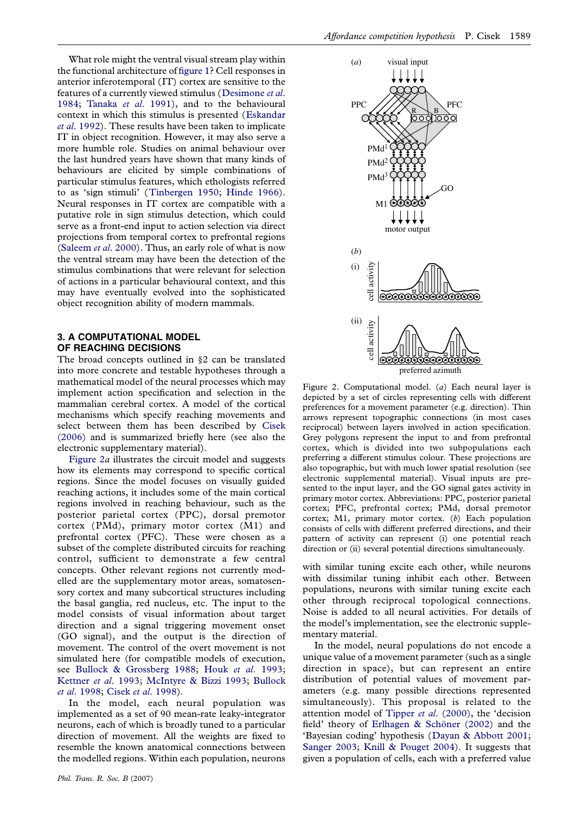<span id="page-4-0"></span>What role might the ventral visual stream play within the functional architecture of [figure 1](#page-2-0)? Cell responses in anterior inferotemporal (IT) cortex are sensitive to the PPC (*a*)

features of a currently viewed stimulus ([Desimone](#page-11-0) et al. [1984](#page-11-0); [Tanaka](#page-14-0) et al. 1991), and to the behavioural context in which this stimulus is presented ([Eskandar](#page-11-0) et al[. 1992\)](#page-11-0). These results have been taken to implicate IT in object recognition. However, it may also serve a more humble role. Studies on animal behaviour over the last hundred years have shown that many kinds of behaviours are elicited by simple combinations of particular stimulus features, which ethologists referred to as 'sign stimuli' ([Tinbergen 1950;](#page-14-0) [Hinde 1966\)](#page-12-0). Neural responses in IT cortex are compatible with a putative role in sign stimulus detection, which could serve as a front-end input to action selection via direct projections from temporal cortex to prefrontal regions [\(Saleem](#page-13-0) *et al.* 2000). Thus, an early role of what is now the ventral stream may have been the detection of the stimulus combinations that were relevant for selection of actions in a particular behavioural context, and this may have eventually evolved into the sophisticated object recognition ability of modern mammals.

## 3. A COMPUTATIONAL MODEL OF REACHING DECISIONS

The broad concepts outlined in §2 can be translated into more concrete and testable hypotheses through a mathematical model of the neural processes which may implement action specification and selection in the mammalian cerebral cortex. A model of the cortical mechanisms which specify reaching movements and select between them has been described by [Cisek](#page-11-0) [\(2006\)](#page-11-0) and is summarized briefly here (see also the electronic supplementary material).

Figure 2a illustrates the circuit model and suggests how its elements may correspond to specific cortical regions. Since the model focuses on visually guided reaching actions, it includes some of the main cortical regions involved in reaching behaviour, such as the posterior parietal cortex (PPC), dorsal premotor cortex (PMd), primary motor cortex (M1) and prefrontal cortex (PFC). These were chosen as a subset of the complete distributed circuits for reaching control, sufficient to demonstrate a few central concepts. Other relevant regions not currently modelled are the supplementary motor areas, somatosensory cortex and many subcortical structures including the basal ganglia, red nucleus, etc. The input to the model consists of visual information about target direction and a signal triggering movement onset (GO signal), and the output is the direction of movement. The control of the overt movement is not simulated here (for compatible models of execution, see [Bullock & Grossberg 1988;](#page-11-0) Houk et al[. 1993](#page-12-0); [Kettner](#page-12-0) et al. 1993; [McIntyre & Bizzi 1993](#page-13-0); [Bullock](#page-11-0) et al[. 1998;](#page-11-0) Cisek et al[. 1998\)](#page-11-0).

In the model, each neural population was implemented as a set of 90 mean-rate leaky-integrator neurons, each of which is broadly tuned to a particular direction of movement. All the weights are fixed to resemble the known anatomical connections between the modelled regions. Within each population, neurons



Figure 2. Computational model. (a) Each neural layer is depicted by a set of circles representing cells with different preferences for a movement parameter (e.g. direction). Thin arrows represent topographic connections (in most cases reciprocal) between layers involved in action specification. Grey polygons represent the input to and from prefrontal cortex, which is divided into two subpopulations each preferring a different stimulus colour. These projections are also topographic, but with much lower spatial resolution (see electronic supplemental material). Visual inputs are presented to the input layer, and the GO signal gates activity in primary motor cortex. Abbreviations: PPC, posterior parietal cortex; PFC, prefrontal cortex; PMd, dorsal premotor cortex; M1, primary motor cortex. (b) Each population consists of cells with different preferred directions, and their pattern of activity can represent (i) one potential reach direction or (ii) several potential directions simultaneously.

with similar tuning excite each other, while neurons with dissimilar tuning inhibit each other. Between populations, neurons with similar tuning excite each other through reciprocal topological connections. Noise is added to all neural activities. For details of the model's implementation, see the electronic supplementary material.

In the model, neural populations do not encode a unique value of a movement parameter (such as a single direction in space), but can represent an entire distribution of potential values of movement parameters (e.g. many possible directions represented simultaneously). This proposal is related to the attention model of Tipper  $et$  al[. \(2000\)](#page-14-0), the 'decision field' theory of Erlhagen  $&$  Schöner (2002) and the 'Bayesian coding' hypothesis ([Dayan & Abbott 2001;](#page-11-0) [Sanger 2003](#page-13-0); [Knill & Pouget 2004](#page-12-0)). It suggests that given a population of cells, each with a preferred value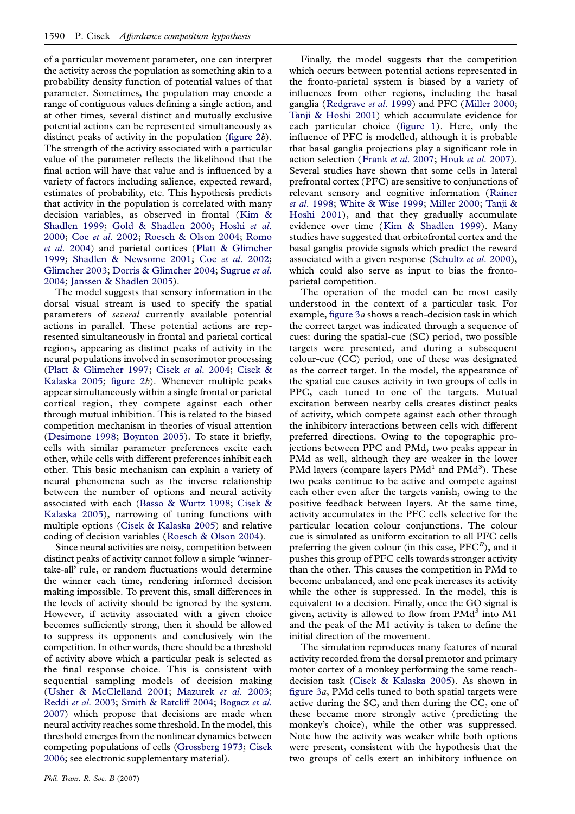of a particular movement parameter, one can interpret the activity across the population as something akin to a probability density function of potential values of that parameter. Sometimes, the population may encode a range of contiguous values defining a single action, and at other times, several distinct and mutually exclusive potential actions can be represented simultaneously as distinct peaks of activity in the population [\(figure 2](#page-4-0)b). The strength of the activity associated with a particular value of the parameter reflects the likelihood that the final action will have that value and is influenced by a variety of factors including salience, expected reward, estimates of probability, etc. This hypothesis predicts that activity in the population is correlated with many decision variables, as observed in frontal ([Kim &](#page-12-0) [Shadlen 1999;](#page-12-0) [Gold & Shadlen 2000](#page-12-0); [Hoshi](#page-12-0) et al. [2000](#page-12-0); Coe et al[. 2002;](#page-11-0) [Roesch & Olson 2004](#page-13-0); [Romo](#page-13-0) et al[. 2004\)](#page-13-0) and parietal cortices ([Platt & Glimcher](#page-13-0) [1999](#page-13-0); [Shadlen & Newsome 2001](#page-13-0); Coe et al[. 2002;](#page-11-0) [Glimcher 2003;](#page-12-0) [Dorris & Glimcher 2004;](#page-11-0) [Sugrue](#page-14-0) et al. [2004](#page-14-0); [Janssen & Shadlen 2005](#page-12-0)).

The model suggests that sensory information in the dorsal visual stream is used to specify the spatial parameters of several currently available potential actions in parallel. These potential actions are represented simultaneously in frontal and parietal cortical regions, appearing as distinct peaks of activity in the neural populations involved in sensorimotor processing ([Platt & Glimcher 1997](#page-13-0); Cisek et al[. 2004](#page-11-0); [Cisek &](#page-11-0) [Kalaska 2005;](#page-11-0) [figure 2](#page-4-0)b). Whenever multiple peaks appear simultaneously within a single frontal or parietal cortical region, they compete against each other through mutual inhibition. This is related to the biased competition mechanism in theories of visual attention ([Desimone 1998](#page-11-0); [Boynton 2005\)](#page-10-0). To state it briefly, cells with similar parameter preferences excite each other, while cells with different preferences inhibit each other. This basic mechanism can explain a variety of neural phenomena such as the inverse relationship between the number of options and neural activity associated with each [\(Basso & Wurtz 1998](#page-10-0); [Cisek &](#page-11-0) [Kalaska 2005](#page-11-0)), narrowing of tuning functions with multiple options [\(Cisek & Kalaska 2005\)](#page-11-0) and relative coding of decision variables ([Roesch & Olson 2004\)](#page-13-0).

Since neural activities are noisy, competition between distinct peaks of activity cannot follow a simple 'winnertake-all' rule, or random fluctuations would determine the winner each time, rendering informed decision making impossible. To prevent this, small differences in the levels of activity should be ignored by the system. However, if activity associated with a given choice becomes sufficiently strong, then it should be allowed to suppress its opponents and conclusively win the competition. In other words, there should be a threshold of activity above which a particular peak is selected as the final response choice. This is consistent with sequential sampling models of decision making ([Usher & McClelland 2001;](#page-14-0) [Mazurek](#page-13-0) et al. 2003; Reddi et al[. 2003;](#page-13-0) [Smith & Ratcliff 2004](#page-13-0); [Bogacz](#page-10-0) et al. [2007\)](#page-10-0) which propose that decisions are made when neural activity reaches some threshold. In the model, this threshold emerges from the nonlinear dynamics between competing populations of cells [\(Grossberg 1973;](#page-12-0) [Cisek](#page-11-0) [2006;](#page-11-0) see electronic supplementary material).

Finally, the model suggests that the competition which occurs between potential actions represented in the fronto-parietal system is biased by a variety of influences from other regions, including the basal ganglia ([Redgrave](#page-13-0) et al. 1999) and PFC ([Miller 2000;](#page-13-0) [Tanji & Hoshi 2001\)](#page-14-0) which accumulate evidence for each particular choice ([figure 1](#page-2-0)). Here, only the influence of PFC is modelled, although it is probable that basal ganglia projections play a significant role in action selection (Frank et al[. 2007](#page-11-0); Houk et al[. 2007\)](#page-12-0). Several studies have shown that some cells in lateral prefrontal cortex (PFC) are sensitive to conjunctions of relevant sensory and cognitive information ([Rainer](#page-13-0) et al[. 1998](#page-13-0); [White & Wise 1999](#page-14-0); [Miller 2000](#page-13-0); [Tanji &](#page-14-0) [Hoshi 2001](#page-14-0)), and that they gradually accumulate evidence over time ([Kim & Shadlen 1999\)](#page-12-0). Many studies have suggested that orbitofrontal cortex and the basal ganglia provide signals which predict the reward associated with a given response ([Schultz](#page-13-0) et al. 2000), which could also serve as input to bias the frontoparietal competition.

The operation of the model can be most easily understood in the context of a particular task. For example, [figure 3](#page-6-0)a shows a reach-decision task in which the correct target was indicated through a sequence of cues: during the spatial-cue (SC) period, two possible targets were presented, and during a subsequent colour-cue (CC) period, one of these was designated as the correct target. In the model, the appearance of the spatial cue causes activity in two groups of cells in PPC, each tuned to one of the targets. Mutual excitation between nearby cells creates distinct peaks of activity, which compete against each other through the inhibitory interactions between cells with different preferred directions. Owing to the topographic projections between PPC and PMd, two peaks appear in PMd as well, although they are weaker in the lower PMd layers (compare layers  $PMd^1$  and  $PMd^3$ ). These two peaks continue to be active and compete against each other even after the targets vanish, owing to the positive feedback between layers. At the same time, activity accumulates in the PFC cells selective for the particular location–colour conjunctions. The colour cue is simulated as uniform excitation to all PFC cells preferring the given colour (in this case,  $PFC<sup>R</sup>$ ), and it pushes this group of PFC cells towards stronger activity than the other. This causes the competition in PMd to become unbalanced, and one peak increases its activity while the other is suppressed. In the model, this is equivalent to a decision. Finally, once the GO signal is given, activity is allowed to flow from  $PMd<sup>3</sup>$  into M1 and the peak of the M1 activity is taken to define the initial direction of the movement.

The simulation reproduces many features of neural activity recorded from the dorsal premotor and primary motor cortex of a monkey performing the same reachdecision task [\(Cisek & Kalaska 2005](#page-11-0)). As shown in [figure 3](#page-6-0)a, PMd cells tuned to both spatial targets were active during the SC, and then during the CC, one of these became more strongly active (predicting the monkey's choice), while the other was suppressed. Note how the activity was weaker while both options were present, consistent with the hypothesis that the two groups of cells exert an inhibitory influence on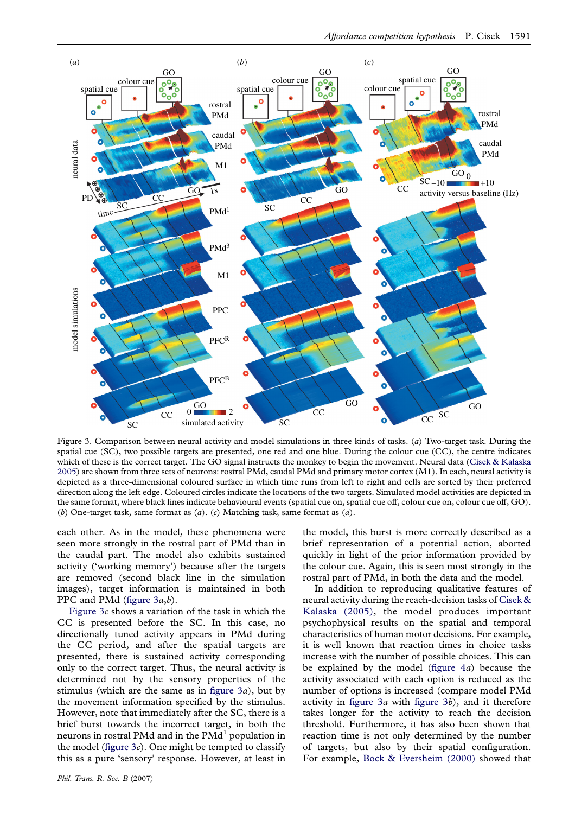<span id="page-6-0"></span>

Figure 3. Comparison between neural activity and model simulations in three kinds of tasks. (a) Two-target task. During the spatial cue (SC), two possible targets are presented, one red and one blue. During the colour cue (CC), the centre indicates which of these is the correct target. The GO signal instructs the monkey to begin the movement. Neural data ([Cisek & Kalaska](#page-11-0) [2005](#page-11-0)) are shown from three sets of neurons: rostral PMd, caudal PMd and primary motor cortex (M1). In each, neural activity is depicted as a three-dimensional coloured surface in which time runs from left to right and cells are sorted by their preferred direction along the left edge. Coloured circles indicate the locations of the two targets. Simulated model activities are depicted in the same format, where black lines indicate behavioural events (spatial cue on, spatial cue off, colour cue on, colour cue off, GO). (b) One-target task, same format as  $(a)$ .  $(c)$  Matching task, same format as  $(a)$ .

each other. As in the model, these phenomena were seen more strongly in the rostral part of PMd than in the caudal part. The model also exhibits sustained activity ('working memory') because after the targets are removed (second black line in the simulation images), target information is maintained in both PPC and PMd (figure  $3a,b$ ).

Figure  $3c$  shows a variation of the task in which the CC is presented before the SC. In this case, no directionally tuned activity appears in PMd during the CC period, and after the spatial targets are presented, there is sustained activity corresponding only to the correct target. Thus, the neural activity is determined not by the sensory properties of the stimulus (which are the same as in figure  $3a$ ), but by the movement information specified by the stimulus. However, note that immediately after the SC, there is a brief burst towards the incorrect target, in both the neurons in rostral PMd and in the  $PMd<sup>1</sup>$  population in the model (figure  $3c$ ). One might be tempted to classify this as a pure 'sensory' response. However, at least in

Phil. Trans. R. Soc. B (2007)

the model, this burst is more correctly described as a brief representation of a potential action, aborted quickly in light of the prior information provided by the colour cue. Again, this is seen most strongly in the rostral part of PMd, in both the data and the model.

In addition to reproducing qualitative features of neural activity during the reach-decision tasks of [Cisek &](#page-11-0) [Kalaska \(2005\)](#page-11-0), the model produces important psychophysical results on the spatial and temporal characteristics of human motor decisions. For example, it is well known that reaction times in choice tasks increase with the number of possible choices. This can be explained by the model (figure  $4a$ ) because the activity associated with each option is reduced as the number of options is increased (compare model PMd activity in figure  $3a$  with figure  $3b$ ), and it therefore takes longer for the activity to reach the decision threshold. Furthermore, it has also been shown that reaction time is not only determined by the number of targets, but also by their spatial configuration. For example, [Bock & Eversheim \(2000\)](#page-10-0) showed that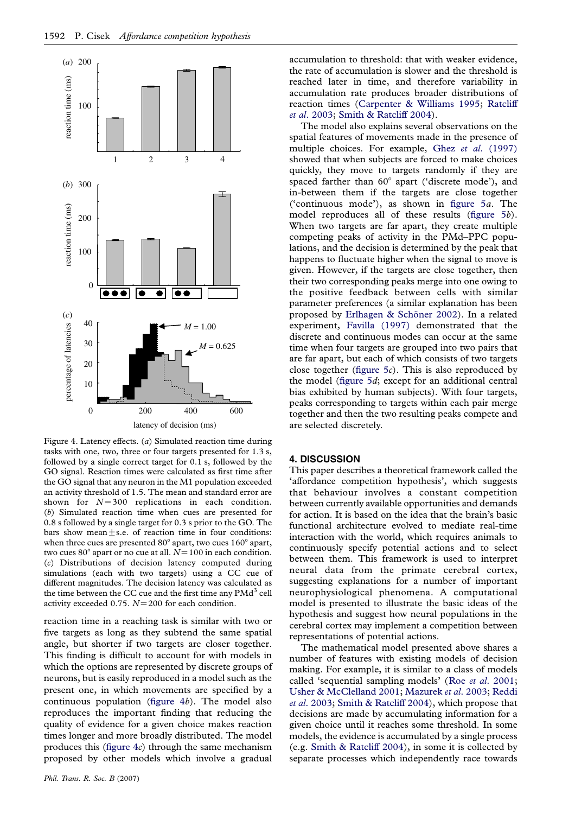<span id="page-7-0"></span>

Figure 4. Latency effects. (a) Simulated reaction time during tasks with one, two, three or four targets presented for 1.3 s, followed by a single correct target for 0.1 s, followed by the GO signal. Reaction times were calculated as first time after the GO signal that any neuron in the M1 population exceeded an activity threshold of 1.5. The mean and standard error are shown for  $N=300$  replications in each condition. (b) Simulated reaction time when cues are presented for 0.8 s followed by a single target for 0.3 s prior to the GO. The bars show mean  $\pm$  s.e. of reaction time in four conditions: when three cues are presented  $80^\circ$  apart, two cues  $160^\circ$  apart, two cues  $80^{\circ}$  apart or no cue at all.  $N=100$  in each condition. (c) Distributions of decision latency computed during simulations (each with two targets) using a CC cue of different magnitudes. The decision latency was calculated as the time between the CC cue and the first time any  $PMd^3$  cell activity exceeded 0.75.  $N=200$  for each condition.

reaction time in a reaching task is similar with two or five targets as long as they subtend the same spatial angle, but shorter if two targets are closer together. This finding is difficult to account for with models in which the options are represented by discrete groups of neurons, but is easily reproduced in a model such as the present one, in which movements are specified by a continuous population (figure  $4b$ ). The model also reproduces the important finding that reducing the quality of evidence for a given choice makes reaction times longer and more broadly distributed. The model produces this (figure  $4c$ ) through the same mechanism proposed by other models which involve a gradual

accumulation to threshold: that with weaker evidence, the rate of accumulation is slower and the threshold is reached later in time, and therefore variability in accumulation rate produces broader distributions of reaction times ([Carpenter & Williams 1995;](#page-11-0) [Ratcliff](#page-13-0) et al[. 2003;](#page-13-0) [Smith & Ratcliff 2004](#page-13-0)).

The model also explains several observations on the spatial features of movements made in the presence of multiple choices. For example, Ghez et al[. \(1997\)](#page-11-0) showed that when subjects are forced to make choices quickly, they move to targets randomly if they are spaced farther than  $60^{\circ}$  apart ('discrete mode'), and in-between them if the targets are close together ('continuous mode'), as shown in [figure 5](#page-8-0)a. The model reproduces all of these results ([figure 5](#page-8-0)b). When two targets are far apart, they create multiple competing peaks of activity in the PMd–PPC populations, and the decision is determined by the peak that happens to fluctuate higher when the signal to move is given. However, if the targets are close together, then their two corresponding peaks merge into one owing to the positive feedback between cells with similar parameter preferences (a similar explanation has been proposed by Erlhagen & Schöner 2002). In a related experiment, [Favilla \(1997\)](#page-11-0) demonstrated that the discrete and continuous modes can occur at the same time when four targets are grouped into two pairs that are far apart, but each of which consists of two targets close together (figure  $5c$ ). This is also reproduced by the model [\(figure 5](#page-8-0)d; except for an additional central bias exhibited by human subjects). With four targets, peaks corresponding to targets within each pair merge together and then the two resulting peaks compete and are selected discretely.

#### 4. DISCUSSION

This paper describes a theoretical framework called the 'affordance competition hypothesis', which suggests that behaviour involves a constant competition between currently available opportunities and demands for action. It is based on the idea that the brain's basic functional architecture evolved to mediate real-time interaction with the world, which requires animals to continuously specify potential actions and to select between them. This framework is used to interpret neural data from the primate cerebral cortex, suggesting explanations for a number of important neurophysiological phenomena. A computational model is presented to illustrate the basic ideas of the hypothesis and suggest how neural populations in the cerebral cortex may implement a competition between representations of potential actions.

The mathematical model presented above shares a number of features with existing models of decision making. For example, it is similar to a class of models called 'sequential sampling models' (Roe et al[. 2001;](#page-13-0) [Usher & McClelland 2001;](#page-14-0) [Mazurek](#page-13-0) et al. 2003; [Reddi](#page-13-0) et al[. 2003;](#page-13-0) [Smith & Ratcliff 2004\)](#page-13-0), which propose that decisions are made by accumulating information for a given choice until it reaches some threshold. In some models, the evidence is accumulated by a single process (e.g. [Smith & Ratcliff 2004\)](#page-13-0), in some it is collected by separate processes which independently race towards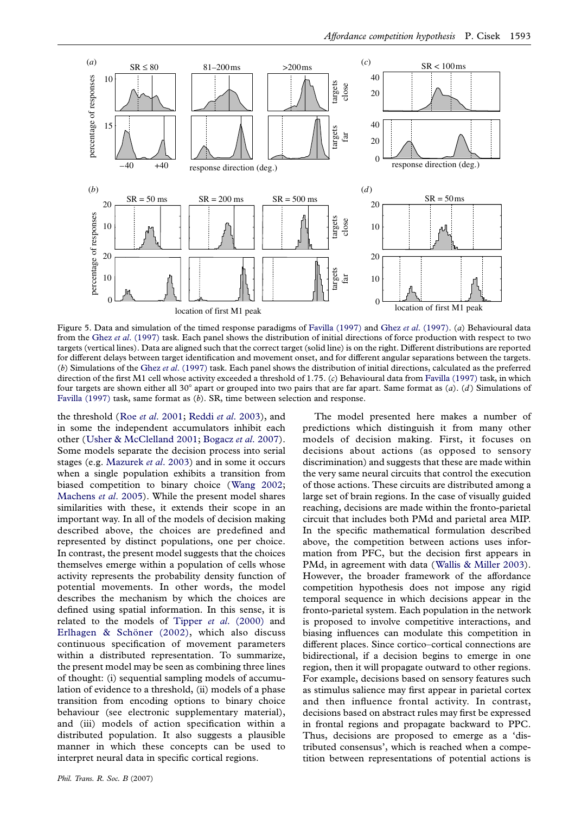<span id="page-8-0"></span>

Figure 5. Data and simulation of the timed response paradigms of [Favilla \(1997\)](#page-11-0) and Ghez et al[. \(1997\)](#page-11-0). (a) Behavioural data from the Ghez et al[. \(1997\)](#page-11-0) task. Each panel shows the distribution of initial directions of force production with respect to two targets (vertical lines). Data are aligned such that the correct target (solid line) is on the right. Different distributions are reported for different delays between target identification and movement onset, and for different angular separations between the targets. (b) Simulations of the Ghez et al[. \(1997\)](#page-11-0) task. Each panel shows the distribution of initial directions, calculated as the preferred direction of the first M1 cell whose activity exceeded a threshold of 1.75. (c) Behavioural data from [Favilla \(1997\)](#page-11-0) task, in which four targets are shown either all 30° apart or grouped into two pairs that are far apart. Same format as  $(a)$ .  $(d)$  Simulations of [Favilla \(1997\)](#page-11-0) task, same format as (b). SR, time between selection and response.

the threshold (Roe et al[. 2001;](#page-13-0) Reddi et al[. 2003](#page-13-0)), and in some the independent accumulators inhibit each other ([Usher & McClelland 2001;](#page-14-0) [Bogacz](#page-10-0) et al. 2007). Some models separate the decision process into serial stages (e.g. [Mazurek](#page-13-0) et al. 2003) and in some it occurs when a single population exhibits a transition from biased competition to binary choice ([Wang 2002](#page-14-0); [Machens](#page-12-0) et al. 2005). While the present model shares similarities with these, it extends their scope in an important way. In all of the models of decision making described above, the choices are predefined and represented by distinct populations, one per choice. In contrast, the present model suggests that the choices themselves emerge within a population of cells whose activity represents the probability density function of potential movements. In other words, the model describes the mechanism by which the choices are defined using spatial information. In this sense, it is related to the models of Tipper et al[. \(2000\)](#page-14-0) and Erlhagen & Schöner (2002), which also discuss continuous specification of movement parameters within a distributed representation. To summarize, the present model may be seen as combining three lines of thought: (i) sequential sampling models of accumulation of evidence to a threshold, (ii) models of a phase transition from encoding options to binary choice behaviour (see electronic supplementary material), and (iii) models of action specification within a distributed population. It also suggests a plausible manner in which these concepts can be used to interpret neural data in specific cortical regions.

The model presented here makes a number of predictions which distinguish it from many other models of decision making. First, it focuses on decisions about actions (as opposed to sensory discrimination) and suggests that these are made within the very same neural circuits that control the execution of those actions. These circuits are distributed among a large set of brain regions. In the case of visually guided reaching, decisions are made within the fronto-parietal circuit that includes both PMd and parietal area MIP. In the specific mathematical formulation described above, the competition between actions uses information from PFC, but the decision first appears in PMd, in agreement with data ([Wallis & Miller 2003\)](#page-14-0). However, the broader framework of the affordance competition hypothesis does not impose any rigid temporal sequence in which decisions appear in the fronto-parietal system. Each population in the network is proposed to involve competitive interactions, and biasing influences can modulate this competition in different places. Since cortico–cortical connections are bidirectional, if a decision begins to emerge in one region, then it will propagate outward to other regions. For example, decisions based on sensory features such as stimulus salience may first appear in parietal cortex and then influence frontal activity. In contrast, decisions based on abstract rules may first be expressed in frontal regions and propagate backward to PPC. Thus, decisions are proposed to emerge as a 'distributed consensus', which is reached when a competition between representations of potential actions is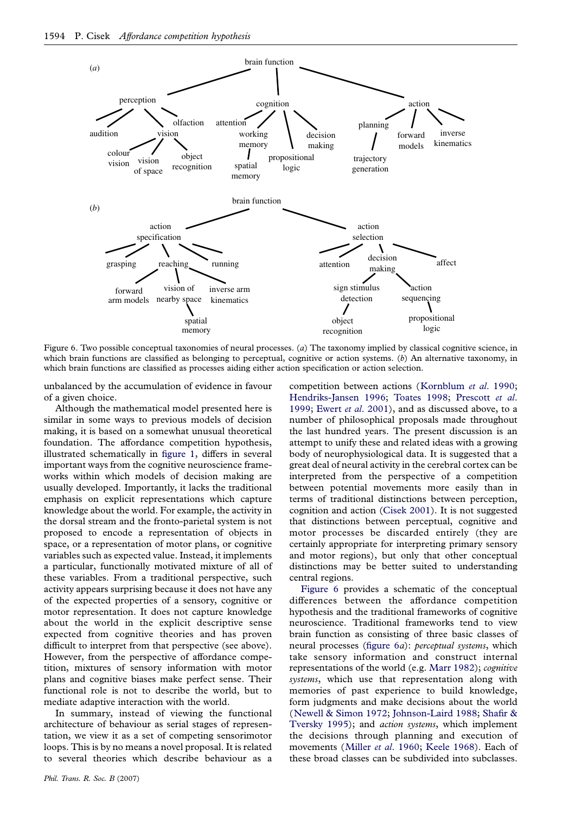<span id="page-9-0"></span>

Figure 6. Two possible conceptual taxonomies of neural processes. (a) The taxonomy implied by classical cognitive science, in which brain functions are classified as belonging to perceptual, cognitive or action systems. (b) An alternative taxonomy, in which brain functions are classified as processes aiding either action specification or action selection.

unbalanced by the accumulation of evidence in favour of a given choice.

Although the mathematical model presented here is similar in some ways to previous models of decision making, it is based on a somewhat unusual theoretical foundation. The affordance competition hypothesis, illustrated schematically in [figure 1,](#page-2-0) differs in several important ways from the cognitive neuroscience frameworks within which models of decision making are usually developed. Importantly, it lacks the traditional emphasis on explicit representations which capture knowledge about the world. For example, the activity in the dorsal stream and the fronto-parietal system is not proposed to encode a representation of objects in space, or a representation of motor plans, or cognitive variables such as expected value. Instead, it implements a particular, functionally motivated mixture of all of these variables. From a traditional perspective, such activity appears surprising because it does not have any of the expected properties of a sensory, cognitive or motor representation. It does not capture knowledge about the world in the explicit descriptive sense expected from cognitive theories and has proven difficult to interpret from that perspective (see above). However, from the perspective of affordance competition, mixtures of sensory information with motor plans and cognitive biases make perfect sense. Their functional role is not to describe the world, but to mediate adaptive interaction with the world.

In summary, instead of viewing the functional architecture of behaviour as serial stages of representation, we view it as a set of competing sensorimotor loops. This is by no means a novel proposal. It is related to several theories which describe behaviour as a

Phil. Trans. R. Soc. B (2007)

competition between actions ([Kornblum](#page-12-0) et al. 1990; [Hendriks-Jansen 1996](#page-12-0); [Toates 1998](#page-14-0); [Prescott](#page-13-0) et al. [1999](#page-13-0); Ewert et al[. 2001](#page-11-0)), and as discussed above, to a number of philosophical proposals made throughout the last hundred years. The present discussion is an attempt to unify these and related ideas with a growing body of neurophysiological data. It is suggested that a great deal of neural activity in the cerebral cortex can be interpreted from the perspective of a competition between potential movements more easily than in terms of traditional distinctions between perception, cognition and action [\(Cisek 2001\)](#page-11-0). It is not suggested that distinctions between perceptual, cognitive and motor processes be discarded entirely (they are certainly appropriate for interpreting primary sensory and motor regions), but only that other conceptual distinctions may be better suited to understanding central regions.

Figure 6 provides a schematic of the conceptual differences between the affordance competition hypothesis and the traditional frameworks of cognitive neuroscience. Traditional frameworks tend to view brain function as consisting of three basic classes of neural processes (figure 6a): perceptual systems, which take sensory information and construct internal representations of the world (e.g. [Marr 1982](#page-12-0)); cognitive systems, which use that representation along with memories of past experience to build knowledge, form judgments and make decisions about the world ([Newell & Simon 1972;](#page-13-0) [Johnson-Laird 1988;](#page-12-0) [Shafir &](#page-13-0) [Tversky 1995\)](#page-13-0); and action systems, which implement the decisions through planning and execution of movements (Miller et al[. 1960](#page-13-0); [Keele 1968](#page-12-0)). Each of these broad classes can be subdivided into subclasses.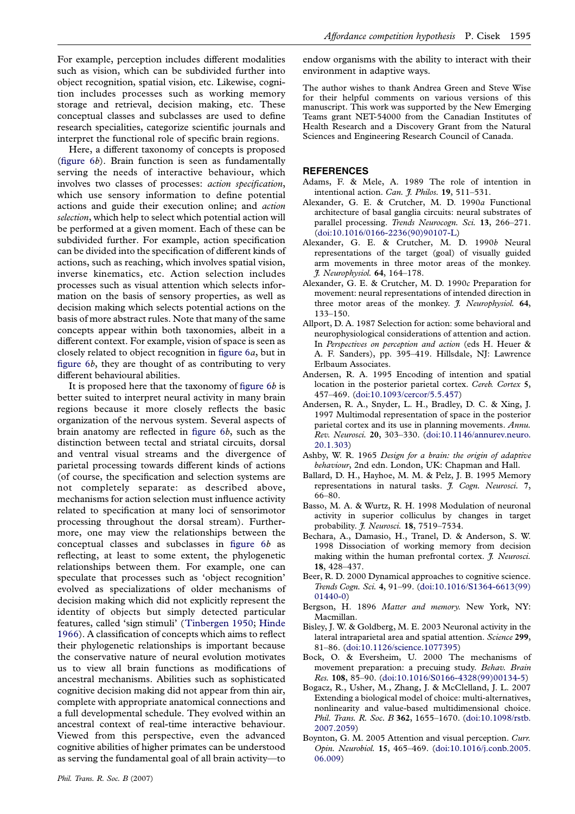<span id="page-10-0"></span>For example, perception includes different modalities such as vision, which can be subdivided further into object recognition, spatial vision, etc. Likewise, cognition includes processes such as working memory storage and retrieval, decision making, etc. These conceptual classes and subclasses are used to define research specialities, categorize scientific journals and interpret the functional role of specific brain regions.

Here, a different taxonomy of concepts is proposed [\(figure 6](#page-9-0)b). Brain function is seen as fundamentally serving the needs of interactive behaviour, which involves two classes of processes: action specification, which use sensory information to define potential actions and guide their execution online; and action selection, which help to select which potential action will be performed at a given moment. Each of these can be subdivided further. For example, action specification can be divided into the specification of different kinds of actions, such as reaching, which involves spatial vision, inverse kinematics, etc. Action selection includes processes such as visual attention which selects information on the basis of sensory properties, as well as decision making which selects potential actions on the basis of more abstract rules. Note that many of the same concepts appear within both taxonomies, albeit in a different context. For example, vision of space is seen as closely related to object recognition in [figure 6](#page-9-0)a, but in [figure 6](#page-9-0)b, they are thought of as contributing to very different behavioural abilities.

It is proposed here that the taxonomy of [figure 6](#page-9-0)b is better suited to interpret neural activity in many brain regions because it more closely reflects the basic organization of the nervous system. Several aspects of brain anatomy are reflected in [figure 6](#page-9-0)b, such as the distinction between tectal and striatal circuits, dorsal and ventral visual streams and the divergence of parietal processing towards different kinds of actions (of course, the specification and selection systems are not completely separate: as described above, mechanisms for action selection must influence activity related to specification at many loci of sensorimotor processing throughout the dorsal stream). Furthermore, one may view the relationships between the conceptual classes and subclasses in [figure 6](#page-9-0)b as reflecting, at least to some extent, the phylogenetic relationships between them. For example, one can speculate that processes such as 'object recognition' evolved as specializations of older mechanisms of decision making which did not explicitly represent the identity of objects but simply detected particular features, called 'sign stimuli' ([Tinbergen 1950](#page-14-0); [Hinde](#page-12-0) [1966](#page-12-0)). A classification of concepts which aims to reflect their phylogenetic relationships is important because the conservative nature of neural evolution motivates us to view all brain functions as modifications of ancestral mechanisms. Abilities such as sophisticated cognitive decision making did not appear from thin air, complete with appropriate anatomical connections and a full developmental schedule. They evolved within an ancestral context of real-time interactive behaviour. Viewed from this perspective, even the advanced cognitive abilities of higher primates can be understood as serving the fundamental goal of all brain activity—to

endow organisms with the ability to interact with their environment in adaptive ways.

The author wishes to thank Andrea Green and Steve Wise for their helpful comments on various versions of this manuscript. This work was supported by the New Emerging Teams grant NET-54000 from the Canadian Institutes of Health Research and a Discovery Grant from the Natural Sciences and Engineering Research Council of Canada.

#### **REFERENCES**

- Adams, F. & Mele, A. 1989 The role of intention in intentional action. Can. J. Philos. 19, 511-531.
- Alexander, G. E. & Crutcher, M. D. 1990a Functional architecture of basal ganglia circuits: neural substrates of parallel processing. Trends Neurocogn. Sci. 13, 266-271. ([doi:10.1016/0166-2236\(90\)90107-L](http://dx.doi.org/doi:10.1016/0166-2236(90)90107-L))
- Alexander, G. E. & Crutcher, M. D. 1990b Neural representations of the target (goal) of visually guided arm movements in three motor areas of the monkey. J. Neurophysiol. 64, 164–178.
- Alexander, G. E. & Crutcher, M. D. 1990c Preparation for movement: neural representations of intended direction in three motor areas of the monkey.  $\tilde{f}$ . Neurophysiol. 64, 133–150.
- Allport, D. A. 1987 Selection for action: some behavioral and neurophysiological considerations of attention and action. In Perspectives on perception and action (eds H. Heuer & A. F. Sanders), pp. 395–419. Hillsdale, NJ: Lawrence Erlbaum Associates.
- Andersen, R. A. 1995 Encoding of intention and spatial location in the posterior parietal cortex. Cereb. Cortex 5, 457–469. [\(doi:10.1093/cercor/5.5.457\)](http://dx.doi.org/doi:10.1093/cercor/5.5.457)
- Andersen, R. A., Snyder, L. H., Bradley, D. C. & Xing, J. 1997 Multimodal representation of space in the posterior parietal cortex and its use in planning movements. Annu. Rev. Neurosci. 20, 303–330. [\(doi:10.1146/annurev.neuro.](http://dx.doi.org/doi:10.1146/annurev.neuro.20.1.303) [20.1.303](http://dx.doi.org/doi:10.1146/annurev.neuro.20.1.303))
- Ashby, W. R. 1965 Design for a brain: the origin of adaptive behaviour, 2nd edn. London, UK: Chapman and Hall.
- Ballard, D. H., Hayhoe, M. M. & Pelz, J. B. 1995 Memory representations in natural tasks. *J. Cogn. Neurosci.* 7, 66–80.
- Basso, M. A. & Wurtz, R. H. 1998 Modulation of neuronal activity in superior colliculus by changes in target probability. *J. Neurosci*. 18, 7519-7534.
- Bechara, A., Damasio, H., Tranel, D. & Anderson, S. W. 1998 Dissociation of working memory from decision making within the human prefrontal cortex. *I. Neurosci*. 18, 428–437.
- Beer, R. D. 2000 Dynamical approaches to cognitive science. Trends Cogn. Sci. 4, 91–99. ([doi:10.1016/S1364-6613\(99\)](http://dx.doi.org/doi:10.1016/S1364-6613(99)01440-0) [01440-0](http://dx.doi.org/doi:10.1016/S1364-6613(99)01440-0))
- Bergson, H. 1896 Matter and memory. New York, NY: Macmillan.
- Bisley, J. W. & Goldberg, M. E. 2003 Neuronal activity in the lateral intraparietal area and spatial attention. Science 299, 81–86. [\(doi:10.1126/science.1077395](http://dx.doi.org/doi:10.1126/science.1077395))
- Bock, O. & Eversheim, U. 2000 The mechanisms of movement preparation: a precuing study. Behav. Brain Res. 108, 85–90. ([doi:10.1016/S0166-4328\(99\)00134-5\)](http://dx.doi.org/doi:10.1016/S0166-4328(99)00134-5)
- Bogacz, R., Usher, M., Zhang, J. & McClelland, J. L. 2007 Extending a biological model of choice: multi-alternatives, nonlinearity and value-based multidimensional choice. Phil. Trans. R. Soc. B 362, 1655-1670. [\(doi:10.1098/rstb.](http://dx.doi.org/doi:10.1098/rstb.2007.2059) [2007.2059](http://dx.doi.org/doi:10.1098/rstb.2007.2059))
- Boynton, G. M. 2005 Attention and visual perception. Curr. Opin. Neurobiol. 15, 465–469. ([doi:10.1016/j.conb.2005.](http://dx.doi.org/doi:10.1016/j.conb.2005.06.009) [06.009\)](http://dx.doi.org/doi:10.1016/j.conb.2005.06.009)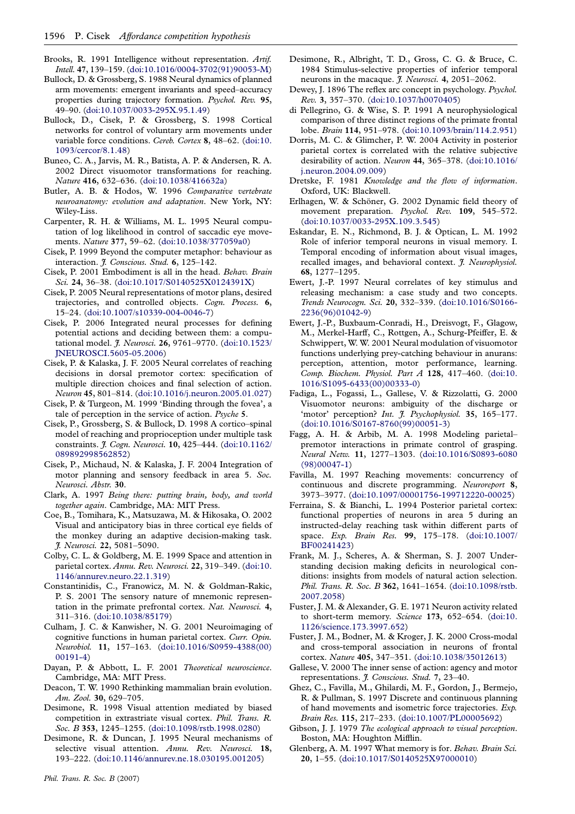- <span id="page-11-0"></span>Brooks, R. 1991 Intelligence without representation. Artif. Intell. 47, 139–159. [\(doi:10.1016/0004-3702\(91\)90053-M\)](http://dx.doi.org/doi:10.1016/0004-3702(91)90053-M)
- Bullock, D. & Grossberg, S. 1988 Neural dynamics of planned arm movements: emergent invariants and speed–accuracy properties during trajectory formation. Psychol. Rev. 95, 49–90. [\(doi:10.1037/0033-295X.95.1.49](http://dx.doi.org/doi:10.1037/0033-295X.95.1.49))
- Bullock, D., Cisek, P. & Grossberg, S. 1998 Cortical networks for control of voluntary arm movements under variable force conditions. Cereb. Cortex 8, 48-62. ([doi:10.](http://dx.doi.org/doi:10.1093/cercor/8.1.48) [1093/cercor/8.1.48](http://dx.doi.org/doi:10.1093/cercor/8.1.48))
- Buneo, C. A., Jarvis, M. R., Batista, A. P. & Andersen, R. A. 2002 Direct visuomotor transformations for reaching. Nature 416, 632–636. [\(doi:10.1038/416632a\)](http://dx.doi.org/doi:10.1038/416632a)
- Butler, A. B. & Hodos, W. 1996 Comparative vertebrate neuroanatomy: evolution and adaptation. New York, NY: Wiley-Liss.
- Carpenter, R. H. & Williams, M. L. 1995 Neural computation of log likelihood in control of saccadic eye movements. Nature 377, 59–62. [\(doi:10.1038/377059a0\)](http://dx.doi.org/doi:10.1038/377059a0)
- Cisek, P. 1999 Beyond the computer metaphor: behaviour as interaction. *J. Conscious. Stud.* 6, 125-142.
- Cisek, P. 2001 Embodiment is all in the head. Behav. Brain Sci. 24, 36–38. ([doi:10.1017/S0140525X0124391X](http://dx.doi.org/doi:10.1017/S0140525X0124391X))
- Cisek, P. 2005 Neural representations of motor plans, desired trajectories, and controlled objects. Cogn. Process. 6, 15–24. [\(doi:10.1007/s10339-004-0046-7\)](http://dx.doi.org/doi:10.1007/s10339-004-0046-7)
- Cisek, P. 2006 Integrated neural processes for defining potential actions and deciding between them: a computational model. *J. Neurosci*. 26, 9761-9770. ([doi:10.1523/](http://dx.doi.org/doi:10.1523/JNEUROSCI.5605-05.2006) [JNEUROSCI.5605-05.2006\)](http://dx.doi.org/doi:10.1523/JNEUROSCI.5605-05.2006)
- Cisek, P. & Kalaska, J. F. 2005 Neural correlates of reaching decisions in dorsal premotor cortex: specification of multiple direction choices and final selection of action. Neuron 45, 801–814. ([doi:10.1016/j.neuron.2005.01.027\)](http://dx.doi.org/doi:10.1016/j.neuron.2005.01.027)
- Cisek, P. & Turgeon, M. 1999 'Binding through the fovea', a tale of perception in the service of action. Psyche 5.
- Cisek, P., Grossberg, S. & Bullock, D. 1998 A cortico–spinal model of reaching and proprioception under multiple task constraints. J. Cogn. Neurosci. 10, 425-444. ([doi:10.1162/](http://dx.doi.org/doi:10.1162/089892998562852) [089892998562852\)](http://dx.doi.org/doi:10.1162/089892998562852)
- Cisek, P., Michaud, N. & Kalaska, J. F. 2004 Integration of motor planning and sensory feedback in area 5. Soc. Neurosci. Abstr. 30.
- Clark, A. 1997 Being there: putting brain, body, and world together again. Cambridge, MA: MIT Press.
- Coe, B., Tomihara, K., Matsuzawa, M. & Hikosaka, O. 2002 Visual and anticipatory bias in three cortical eye fields of the monkey during an adaptive decision-making task. J. Neurosci. 22, 5081–5090.
- Colby, C. L. & Goldberg, M. E. 1999 Space and attention in parietal cortex. Annu. Rev. Neurosci. 22, 319-349. ([doi:10.](http://dx.doi.org/doi:10.1146/annurev.neuro.22.1.319) [1146/annurev.neuro.22.1.319\)](http://dx.doi.org/doi:10.1146/annurev.neuro.22.1.319)
- Constantinidis, C., Franowicz, M. N. & Goldman-Rakic, P. S. 2001 The sensory nature of mnemonic representation in the primate prefrontal cortex. Nat. Neurosci. 4, 311–316. [\(doi:10.1038/85179\)](http://dx.doi.org/doi:10.1038/85179)
- Culham, J. C. & Kanwisher, N. G. 2001 Neuroimaging of cognitive functions in human parietal cortex. Curr. Opin. Neurobiol. 11, 157–163. ([doi:10.1016/S0959-4388\(00\)](http://dx.doi.org/doi:10.1016/S0959-4388(00)00191-4) [00191-4](http://dx.doi.org/doi:10.1016/S0959-4388(00)00191-4))
- Dayan, P. & Abbott, L. F. 2001 Theoretical neuroscience. Cambridge, MA: MIT Press.
- Deacon, T. W. 1990 Rethinking mammalian brain evolution. Am. Zool. 30, 629–705.
- Desimone, R. 1998 Visual attention mediated by biased competition in extrastriate visual cortex. Phil. Trans. R. Soc. B 353, 1245-1255. ([doi:10.1098/rstb.1998.0280](http://dx.doi.org/doi:10.1098/rstb.1998.0280))
- Desimone, R. & Duncan, J. 1995 Neural mechanisms of selective visual attention. Annu. Rev. Neurosci. 18, 193–222. [\(doi:10.1146/annurev.ne.18.030195.001205](http://dx.doi.org/doi:10.1146/annurev.ne.18.030195.001205))
- Phil. Trans. R. Soc. B (2007)
- Desimone, R., Albright, T. D., Gross, C. G. & Bruce, C. 1984 Stimulus-selective properties of inferior temporal neurons in the macaque. *J. Neurosci*. 4, 2051–2062.
- Dewey, J. 1896 The reflex arc concept in psychology. Psychol. Rev. 3, 357–370. ([doi:10.1037/h0070405](http://dx.doi.org/doi:10.1037/h0070405))
- di Pellegrino, G. & Wise, S. P. 1991 A neurophysiological comparison of three distinct regions of the primate frontal lobe. Brain 114, 951–978. [\(doi:10.1093/brain/114.2.951\)](http://dx.doi.org/doi:10.1093/brain/114.2.951)
- Dorris, M. C. & Glimcher, P. W. 2004 Activity in posterior parietal cortex is correlated with the relative subjective desirability of action. Neuron 44, 365–378. ([doi:10.1016/](http://dx.doi.org/doi:10.1016/j.neuron.2004.09.009) [j.neuron.2004.09.009\)](http://dx.doi.org/doi:10.1016/j.neuron.2004.09.009)
- Dretske, F. 1981 Knowledge and the flow of information. Oxford, UK: Blackwell.
- Erlhagen, W. & Schöner, G. 2002 Dynamic field theory of movement preparation. Psychol. Rev. 109, 545–572. ([doi:10.1037/0033-295X.109.3.545](http://dx.doi.org/doi:10.1037/0033-295X.109.3.545))
- Eskandar, E. N., Richmond, B. J. & Optican, L. M. 1992 Role of inferior temporal neurons in visual memory. I. Temporal encoding of information about visual images, recalled images, and behavioral context. *J. Neurophysiol.* 68, 1277–1295.
- Ewert, J.-P. 1997 Neural correlates of key stimulus and releasing mechanism: a case study and two concepts. Trends Neurocogn. Sci. 20, 332–339. [\(doi:10.1016/S0166-](http://dx.doi.org/doi:10.1016/S0166-2236(96)01042-9) [2236\(96\)01042-9\)](http://dx.doi.org/doi:10.1016/S0166-2236(96)01042-9)
- Ewert, J.-P., Buxbaum-Conradi, H., Dreisvogt, F., Glagow, M., Merkel-Harff, C., Rottgen, A., Schurg-Pfeiffer, E. & Schwippert, W. W. 2001 Neural modulation of visuomotor functions underlying prey-catching behaviour in anurans: perception, attention, motor performance, learning. Comp. Biochem. Physiol. Part A 128, 417–460. ([doi:10.](http://dx.doi.org/doi:10.1016/S1095-6433(00)00333-0) [1016/S1095-6433\(00\)00333-0\)](http://dx.doi.org/doi:10.1016/S1095-6433(00)00333-0)
- Fadiga, L., Fogassi, L., Gallese, V. & Rizzolatti, G. 2000 Visuomotor neurons: ambiguity of the discharge or 'motor' perception? Int. J. Psychophysiol. 35, 165-177. ([doi:10.1016/S0167-8760\(99\)00051-3\)](http://dx.doi.org/doi:10.1016/S0167-8760(99)00051-3)
- Fagg, A. H. & Arbib, M. A. 1998 Modeling parietal– premotor interactions in primate control of grasping. Neural Netw. 11, 1277–1303. [\(doi:10.1016/S0893-6080](http://dx.doi.org/doi:10.1016/S0893-6080(98)00047-1) [\(98\)00047-1](http://dx.doi.org/doi:10.1016/S0893-6080(98)00047-1))
- Favilla, M. 1997 Reaching movements: concurrency of continuous and discrete programming. Neuroreport 8, 3973–3977. [\(doi:10.1097/00001756-199712220-00025](http://dx.doi.org/doi:10.1097/00001756-199712220-00025))
- Ferraina, S. & Bianchi, L. 1994 Posterior parietal cortex: functional properties of neurons in area 5 during an instructed-delay reaching task within different parts of space. Exp. Brain Res. 99, 175–178. ([doi:10.1007/](http://dx.doi.org/doi:10.1007/BF00241423) [BF00241423\)](http://dx.doi.org/doi:10.1007/BF00241423)
- Frank, M. J., Scheres, A. & Sherman, S. J. 2007 Understanding decision making deficits in neurological conditions: insights from models of natural action selection. Phil. Trans. R. Soc. B 362, 1641-1654. [\(doi:10.1098/rstb.](http://dx.doi.org/doi:10.1098/rstb.2007.2058) [2007.2058\)](http://dx.doi.org/doi:10.1098/rstb.2007.2058)
- Fuster, J. M. & Alexander, G. E. 1971 Neuron activity related to short-term memory. Science 173, 652-654. ([doi:10.](http://dx.doi.org/doi:10.1126/science.173.3997.652) [1126/science.173.3997.652\)](http://dx.doi.org/doi:10.1126/science.173.3997.652)
- Fuster, J. M., Bodner, M. & Kroger, J. K. 2000 Cross-modal and cross-temporal association in neurons of frontal cortex. Nature 405, 347–351. ([doi:10.1038/35012613](http://dx.doi.org/doi:10.1038/35012613))
- Gallese, V. 2000 The inner sense of action: agency and motor representations. *J. Conscious. Stud.* 7, 23-40.
- Ghez, C., Favilla, M., Ghilardi, M. F., Gordon, J., Bermejo, R. & Pullman, S. 1997 Discrete and continuous planning of hand movements and isometric force trajectories. Exp. Brain Res. 115, 217–233. [\(doi:10.1007/PL00005692\)](http://dx.doi.org/doi:10.1007/PL00005692)
- Gibson, J. J. 1979 The ecological approach to visual perception. Boston, MA: Houghton Mifflin.
- Glenberg, A. M. 1997 What memory is for. Behav. Brain Sci. 20, 1–55. [\(doi:10.1017/S0140525X97000010\)](http://dx.doi.org/doi:10.1017/S0140525X97000010)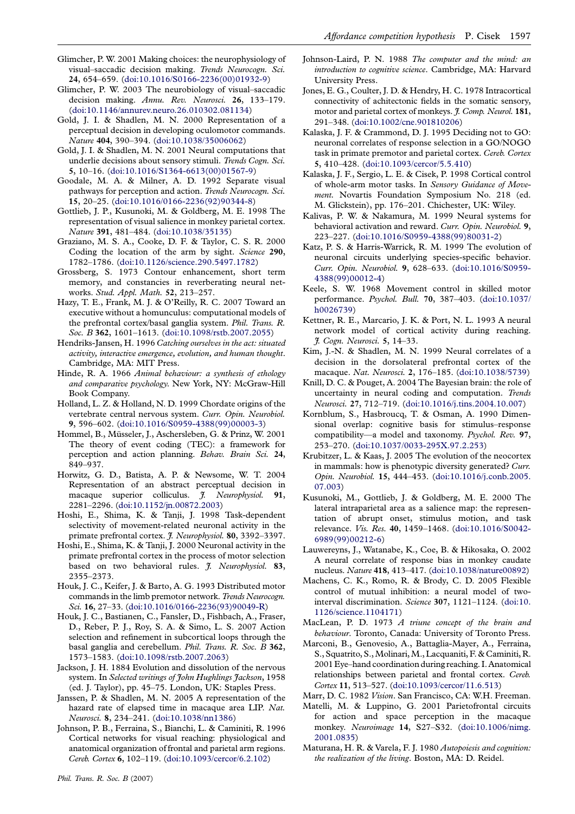- <span id="page-12-0"></span>Glimcher, P. W. 2001 Making choices: the neurophysiology of visual–saccadic decision making. Trends Neurocogn. Sci. 24, 654–659. ([doi:10.1016/S0166-2236\(00\)01932-9\)](http://dx.doi.org/doi:10.1016/S0166-2236(00)01932-9)
- Glimcher, P. W. 2003 The neurobiology of visual–saccadic decision making. Annu. Rev. Neurosci. 26, 133-179. ([doi:10.1146/annurev.neuro.26.010302.081134\)](http://dx.doi.org/doi:10.1146/annurev.neuro.26.010302.081134)
- Gold, J. I. & Shadlen, M. N. 2000 Representation of a perceptual decision in developing oculomotor commands. Nature 404, 390–394. [\(doi:10.1038/35006062](http://dx.doi.org/doi:10.1038/35006062))
- Gold, J. I. & Shadlen, M. N. 2001 Neural computations that underlie decisions about sensory stimuli. Trends Cogn. Sci. 5, 10–16. [\(doi:10.1016/S1364-6613\(00\)01567-9](http://dx.doi.org/doi:10.1016/S1364-6613(00)01567-9))
- Goodale, M. A. & Milner, A. D. 1992 Separate visual pathways for perception and action. Trends Neurocogn. Sci. 15, 20–25. ([doi:10.1016/0166-2236\(92\)90344-8](http://dx.doi.org/doi:10.1016/0166-2236(92)90344-8))
- Gottlieb, J. P., Kusunoki, M. & Goldberg, M. E. 1998 The representation of visual salience in monkey parietal cortex. Nature 391, 481–484. [\(doi:10.1038/35135\)](http://dx.doi.org/doi:10.1038/35135)
- Graziano, M. S. A., Cooke, D. F. & Taylor, C. S. R. 2000 Coding the location of the arm by sight. Science 290, 1782–1786. [\(doi:10.1126/science.290.5497.1782](http://dx.doi.org/doi:10.1126/science.290.5497.1782))
- Grossberg, S. 1973 Contour enhancement, short term memory, and constancies in reverberating neural networks. Stud. Appl. Math. 52, 213–257.
- Hazy, T. E., Frank, M. J. & O'Reilly, R. C. 2007 Toward an executive without a homunculus: computational models of the prefrontal cortex/basal ganglia system. Phil. Trans. R. Soc. B 362, 1601-1613. ([doi:10.1098/rstb.2007.2055](http://dx.doi.org/doi:10.1098/rstb.2007.2055))
- Hendriks-Jansen, H. 1996 Catching ourselves in the act: situated activity, interactive emergence, evolution, and human thought. Cambridge, MA: MIT Press.
- Hinde, R. A. 1966 Animal behaviour: a synthesis of ethology and comparative psychology. New York, NY: McGraw-Hill Book Company.
- Holland, L. Z. & Holland, N. D. 1999 Chordate origins of the vertebrate central nervous system. Curr. Opin. Neurobiol. 9, 596–602. [\(doi:10.1016/S0959-4388\(99\)00003-3\)](http://dx.doi.org/doi:10.1016/S0959-4388(99)00003-3)
- Hommel, B., Müsseler, J., Aschersleben, G. & Prinz, W. 2001 The theory of event coding (TEC): a framework for perception and action planning. Behav. Brain Sci. 24, 849–937.
- Horwitz, G. D., Batista, A. P. & Newsome, W. T. 2004 Representation of an abstract perceptual decision in macaque superior colliculus. J. Neurophysiol. 91, 2281–2296. ([doi:10.1152/jn.00872.2003\)](http://dx.doi.org/doi:10.1152/jn.00872.2003)
- Hoshi, E., Shima, K. & Tanji, J. 1998 Task-dependent selectivity of movement-related neuronal activity in the primate prefrontal cortex. *J. Neurophysiol.* 80, 3392–3397.
- Hoshi, E., Shima, K. & Tanji, J. 2000 Neuronal activity in the primate prefrontal cortex in the process of motor selection based on two behavioral rules. J. Neurophysiol. 83, 2355–2373.
- Houk, J. C., Keifer, J. & Barto, A. G. 1993 Distributed motor commands in the limb premotor network. Trends Neurocogn. Sci. 16, 27–33. [\(doi:10.1016/0166-2236\(93\)90049-R](http://dx.doi.org/doi:10.1016/0166-2236(93)90049-R))
- Houk, J. C., Bastianen, C., Fansler, D., Fishbach, A., Fraser, D., Reber, P. J., Roy, S. A. & Simo, L. S. 2007 Action selection and refinement in subcortical loops through the basal ganglia and cerebellum. Phil. Trans. R. Soc. B 362, 1573–1583. [\(doi:10.1098/rstb.2007.2063\)](http://dx.doi.org/doi:10.1098/rstb.2007.2063)
- Jackson, J. H. 1884 Evolution and dissolution of the nervous system. In Selected writings of John Hughlings Jackson, 1958 (ed. J. Taylor), pp. 45–75. London, UK: Staples Press.
- Janssen, P. & Shadlen, M. N. 2005 A representation of the hazard rate of elapsed time in macaque area LIP. Nat. Neurosci. 8, 234–241. [\(doi:10.1038/nn1386](http://dx.doi.org/doi:10.1038/nn1386))
- Johnson, P. B., Ferraina, S., Bianchi, L. & Caminiti, R. 1996 Cortical networks for visual reaching: physiological and anatomical organization of frontal and parietal arm regions. Cereb. Cortex 6, 102–119. [\(doi:10.1093/cercor/6.2.102\)](http://dx.doi.org/doi:10.1093/cercor/6.2.102)
- Johnson-Laird, P. N. 1988 The computer and the mind: an introduction to cognitive science. Cambridge, MA: Harvard University Press.
- Jones, E. G., Coulter, J. D. & Hendry, H. C. 1978 Intracortical connectivity of achitectonic fields in the somatic sensory, motor and parietal cortex of monkeys. *J. Comp. Neurol.* 181, 291–348. [\(doi:10.1002/cne.901810206](http://dx.doi.org/doi:10.1002/cne.901810206))
- Kalaska, J. F. & Crammond, D. J. 1995 Deciding not to GO: neuronal correlates of response selection in a GO/NOGO task in primate premotor and parietal cortex. Cereb. Cortex 5, 410–428. [\(doi:10.1093/cercor/5.5.410\)](http://dx.doi.org/doi:10.1093/cercor/5.5.410)
- Kalaska, J. F., Sergio, L. E. & Cisek, P. 1998 Cortical control of whole-arm motor tasks. In Sensory Guidance of Movement. Novartis Foundation Symposium No. 218 (ed. M. Glickstein), pp. 176–201. Chichester, UK: Wiley.
- Kalivas, P. W. & Nakamura, M. 1999 Neural systems for behavioral activation and reward. Curr. Opin. Neurobiol. 9, 223–227. [\(doi:10.1016/S0959-4388\(99\)80031-2](http://dx.doi.org/doi:10.1016/S0959-4388(99)80031-2))
- Katz, P. S. & Harris-Warrick, R. M. 1999 The evolution of neuronal circuits underlying species-specific behavior. Curr. Opin. Neurobiol. 9, 628–633. [\(doi:10.1016/S0959-](http://dx.doi.org/doi:10.1016/S0959-4388(99)00012-4) [4388\(99\)00012-4\)](http://dx.doi.org/doi:10.1016/S0959-4388(99)00012-4)
- Keele, S. W. 1968 Movement control in skilled motor performance. Psychol. Bull. 70, 387–403. ([doi:10.1037/](http://dx.doi.org/doi:10.1037/h0026739) [h0026739\)](http://dx.doi.org/doi:10.1037/h0026739)
- Kettner, R. E., Marcario, J. K. & Port, N. L. 1993 A neural network model of cortical activity during reaching. J. Cogn. Neurosci. 5, 14–33.
- Kim, J.-N. & Shadlen, M. N. 1999 Neural correlates of a decision in the dorsolateral prefrontal cortex of the macaque. Nat. Neurosci. 2, 176–185. [\(doi:10.1038/5739](http://dx.doi.org/doi:10.1038/5739))
- Knill, D. C. & Pouget, A. 2004 The Bayesian brain: the role of uncertainty in neural coding and computation. Trends Neurosci. 27, 712–719. ([doi:10.1016/j.tins.2004.10.007](http://dx.doi.org/doi:10.1016/j.tins.2004.10.007))
- Kornblum, S., Hasbroucq, T. & Osman, A. 1990 Dimensional overlap: cognitive basis for stimulus–response compatibility—a model and taxonomy. Psychol. Rev. 97, 253–270. [\(doi:10.1037/0033-295X.97.2.253\)](http://dx.doi.org/doi:10.1037/0033-295X.97.2.253)
- Krubitzer, L. & Kaas, J. 2005 The evolution of the neocortex in mammals: how is phenotypic diversity generated? Curr. Opin. Neurobiol. 15, 444–453. ([doi:10.1016/j.conb.2005.](http://dx.doi.org/doi:10.1016/j.conb.2005.07.003) [07.003\)](http://dx.doi.org/doi:10.1016/j.conb.2005.07.003)
- Kusunoki, M., Gottlieb, J. & Goldberg, M. E. 2000 The lateral intraparietal area as a salience map: the representation of abrupt onset, stimulus motion, and task relevance. Vis. Res. 40, 1459–1468. [\(doi:10.1016/S0042-](http://dx.doi.org/doi:10.1016/S0042-6989(99)00212-6) [6989\(99\)00212-6\)](http://dx.doi.org/doi:10.1016/S0042-6989(99)00212-6)
- Lauwereyns, J., Watanabe, K., Coe, B. & Hikosaka, O. 2002 A neural correlate of response bias in monkey caudate nucleus. Nature 418, 413–417. ([doi:10.1038/nature00892](http://dx.doi.org/doi:10.1038/nature00892))
- Machens, C. K., Romo, R. & Brody, C. D. 2005 Flexible control of mutual inhibition: a neural model of twointerval discrimination. Science 307, 1121–1124. ([doi:10.](http://dx.doi.org/doi:10.1126/science.1104171) [1126/science.1104171\)](http://dx.doi.org/doi:10.1126/science.1104171)
- MacLean, P. D. 1973 A triune concept of the brain and behaviour. Toronto, Canada: University of Toronto Press.
- Marconi, B., Genovesio, A., Battaglia-Mayer, A., Ferraina, S., Squatrito, S., Molinari, M., Lacquaniti, F. & Caminiti, R. 2001Eye–hand coordinationduring reaching. I.Anatomical relationships between parietal and frontal cortex. Cereb. Cortex 11, 513–527. ([doi:10.1093/cercor/11.6.513\)](http://dx.doi.org/doi:10.1093/cercor/11.6.513)
- Marr, D. C. 1982 Vision. San Francisco, CA: W.H. Freeman.
- Matelli, M. & Luppino, G. 2001 Parietofrontal circuits for action and space perception in the macaque monkey. Neuroimage 14, S27–S32. [\(doi:10.1006/nimg.](http://dx.doi.org/doi:10.1006/nimg.2001.0835) [2001.0835](http://dx.doi.org/doi:10.1006/nimg.2001.0835))
- Maturana, H. R. & Varela, F. J. 1980 Autopoiesis and cognition: the realization of the living. Boston, MA: D. Reidel.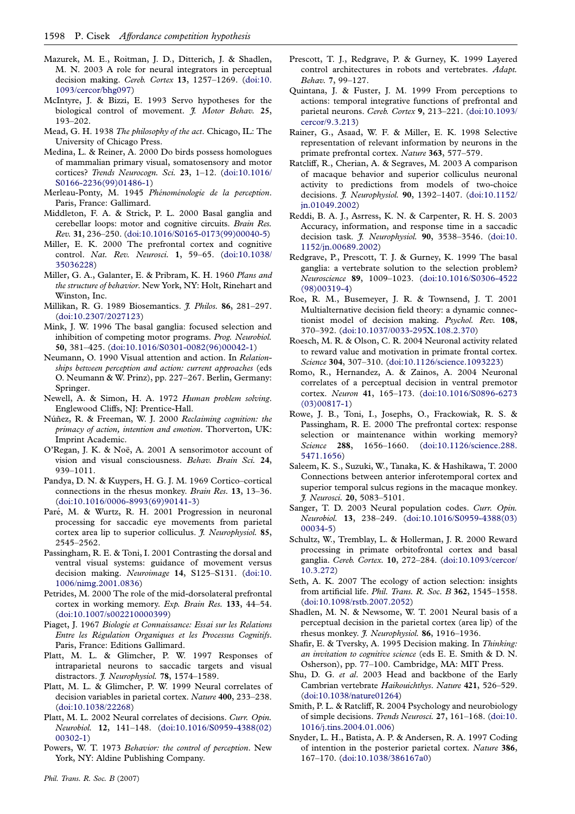- <span id="page-13-0"></span>Mazurek, M. E., Roitman, J. D., Ditterich, J. & Shadlen, M. N. 2003 A role for neural integrators in perceptual decision making. Cereb. Cortex 13, 1257-1269. ([doi:10.](http://dx.doi.org/doi:10.1093/cercor/bhg097) [1093/cercor/bhg097\)](http://dx.doi.org/doi:10.1093/cercor/bhg097)
- McIntyre, J. & Bizzi, E. 1993 Servo hypotheses for the biological control of movement. *J. Motor Behav.* 25, 193–202.
- Mead, G. H. 1938 The philosophy of the act. Chicago, IL: The University of Chicago Press.
- Medina, L. & Reiner, A. 2000 Do birds possess homologues of mammalian primary visual, somatosensory and motor cortices? Trends Neurocogn. Sci. 23, 1-12. ([doi:10.1016/](http://dx.doi.org/doi:10.1016/S0166-2236(99)01486-1) [S0166-2236\(99\)01486-1](http://dx.doi.org/doi:10.1016/S0166-2236(99)01486-1))
- Merleau-Ponty, M. 1945 Phénoménologie de la perception. Paris, France: Gallimard.
- Middleton, F. A. & Strick, P. L. 2000 Basal ganglia and cerebellar loops: motor and cognitive circuits. Brain Res. Rev. 31, 236–250. ([doi:10.1016/S0165-0173\(99\)00040-5](http://dx.doi.org/doi:10.1016/S0165-0173(99)00040-5))
- Miller, E. K. 2000 The prefrontal cortex and cognitive control. Nat. Rev. Neurosci. 1, 59–65. ([doi:10.1038/](http://dx.doi.org/doi:10.1038/35036228) [35036228\)](http://dx.doi.org/doi:10.1038/35036228)
- Miller, G. A., Galanter, E. & Pribram, K. H. 1960 Plans and the structure of behavior. New York, NY: Holt, Rinehart and Winston, Inc.
- Millikan, R. G. 1989 Biosemantics. *J. Philos.* 86, 281-297. ([doi:10.2307/2027123](http://dx.doi.org/doi:10.2307/2027123))
- Mink, J. W. 1996 The basal ganglia: focused selection and inhibition of competing motor programs. Prog. Neurobiol. 50, 381–425. ([doi:10.1016/S0301-0082\(96\)00042-1\)](http://dx.doi.org/doi:10.1016/S0301-0082(96)00042-1)
- Neumann, O. 1990 Visual attention and action. In Relationships between perception and action: current approaches (eds O. Neumann & W. Prinz), pp. 227–267. Berlin, Germany: Springer.
- Newell, A. & Simon, H. A. 1972 Human problem solving. Englewood Cliffs, NJ: Prentice-Hall.
- Núñez, R. & Freeman, W. J. 2000 Reclaiming cognition: the primacy of action, intention and emotion. Thorverton, UK: Imprint Academic.
- O'Regan, J. K. & Noë, A. 2001 A sensorimotor account of vision and visual consciousness. Behav. Brain Sci. 24, 939–1011.
- Pandya, D. N. & Kuypers, H. G. J. M. 1969 Cortico–cortical connections in the rhesus monkey. Brain Res. 13, 13–36. ([doi:10.1016/0006-8993\(69\)90141-3](http://dx.doi.org/doi:10.1016/0006-8993(69)90141-3))
- Paré, M. & Wurtz, R. H. 2001 Progression in neuronal processing for saccadic eye movements from parietal cortex area lip to superior colliculus. *J. Neurophysiol.* 85, 2545–2562.
- Passingham, R. E. & Toni, I. 2001 Contrasting the dorsal and ventral visual systems: guidance of movement versus decision making. Neuroimage 14, S125-S131. ([doi:10.](http://dx.doi.org/doi:10.1006/nimg.2001.0836) [1006/nimg.2001.0836](http://dx.doi.org/doi:10.1006/nimg.2001.0836))
- Petrides, M. 2000 The role of the mid-dorsolateral prefrontal cortex in working memory. Exp. Brain Res. 133, 44-54. ([doi:10.1007/s002210000399\)](http://dx.doi.org/doi:10.1007/s002210000399)
- Piaget, J. 1967 Biologie et Connaissance: Essai sur les Relations Entre les Régulation Organiques et les Processus Cognitifs. Paris, France: Editions Gallimard.
- Platt, M. L. & Glimcher, P. W. 1997 Responses of intraparietal neurons to saccadic targets and visual distractors. J. Neurophysiol. 78, 1574-1589.
- Platt, M. L. & Glimcher, P. W. 1999 Neural correlates of decision variables in parietal cortex. Nature 400, 233-238. ([doi:10.1038/22268](http://dx.doi.org/doi:10.1038/22268))
- Platt, M. L. 2002 Neural correlates of decisions. Curr. Opin. Neurobiol. 12, 141–148. ([doi:10.1016/S0959-4388\(02\)](http://dx.doi.org/doi:10.1016/S0959-4388(02)00302-1) [00302-1](http://dx.doi.org/doi:10.1016/S0959-4388(02)00302-1))
- Powers, W. T. 1973 Behavior: the control of perception. New York, NY: Aldine Publishing Company.
- Prescott, T. J., Redgrave, P. & Gurney, K. 1999 Layered control architectures in robots and vertebrates. Adapt. Behav. 7, 99–127.
- Quintana, J. & Fuster, J. M. 1999 From perceptions to actions: temporal integrative functions of prefrontal and parietal neurons. Cereb. Cortex 9, 213–221. ([doi:10.1093/](http://dx.doi.org/doi:10.1093/cercor/9.3.213) [cercor/9.3.213\)](http://dx.doi.org/doi:10.1093/cercor/9.3.213)
- Rainer, G., Asaad, W. F. & Miller, E. K. 1998 Selective representation of relevant information by neurons in the primate prefrontal cortex. Nature 363, 577–579.
- Ratcliff, R., Cherian, A. & Segraves, M. 2003 A comparison of macaque behavior and superior colliculus neuronal activity to predictions from models of two-choice decisions. *J. Neurophysiol.* 90, 1392-1407. ([doi:10.1152/](http://dx.doi.org/doi:10.1152/jn.01049.2002) [jn.01049.2002\)](http://dx.doi.org/doi:10.1152/jn.01049.2002)
- Reddi, B. A. J., Asrress, K. N. & Carpenter, R. H. S. 2003 Accuracy, information, and response time in a saccadic decision task. *J. Neurophysiol.* 90, 3538-3546. ([doi:10.](http://dx.doi.org/doi:10.1152/jn.00689.2002) [1152/jn.00689.2002\)](http://dx.doi.org/doi:10.1152/jn.00689.2002)
- Redgrave, P., Prescott, T. J. & Gurney, K. 1999 The basal ganglia: a vertebrate solution to the selection problem? Neuroscience 89, 1009–1023. [\(doi:10.1016/S0306-4522](http://dx.doi.org/doi:10.1016/S0306-4522(98)00319-4) [\(98\)00319-4](http://dx.doi.org/doi:10.1016/S0306-4522(98)00319-4))
- Roe, R. M., Busemeyer, J. R. & Townsend, J. T. 2001 Multialternative decision field theory: a dynamic connectionist model of decision making. Psychol. Rev. 108, 370–392. [\(doi:10.1037/0033-295X.108.2.370\)](http://dx.doi.org/doi:10.1037/0033-295X.108.2.370)
- Roesch, M. R. & Olson, C. R. 2004 Neuronal activity related to reward value and motivation in primate frontal cortex. Science 304, 307–310. ([doi:10.1126/science.1093223\)](http://dx.doi.org/doi:10.1126/science.1093223)
- Romo, R., Hernandez, A. & Zainos, A. 2004 Neuronal correlates of a perceptual decision in ventral premotor cortex. Neuron 41, 165–173. [\(doi:10.1016/S0896-6273](http://dx.doi.org/doi:10.1016/S0896-6273(03)00817-1) [\(03\)00817-1](http://dx.doi.org/doi:10.1016/S0896-6273(03)00817-1))
- Rowe, J. B., Toni, I., Josephs, O., Frackowiak, R. S. & Passingham, R. E. 2000 The prefrontal cortex: response selection or maintenance within working memory? Science 288, 1656-1660. ([doi:10.1126/science.288.](http://dx.doi.org/doi:10.1126/science.288.5471.1656) [5471.1656\)](http://dx.doi.org/doi:10.1126/science.288.5471.1656)
- Saleem, K. S., Suzuki, W., Tanaka, K. & Hashikawa, T. 2000 Connections between anterior inferotemporal cortex and superior temporal sulcus regions in the macaque monkey. J. Neurosci. 20, 5083–5101.
- Sanger, T. D. 2003 Neural population codes. Curr. Opin. Neurobiol. 13, 238–249. ([doi:10.1016/S0959-4388\(03\)](http://dx.doi.org/doi:10.1016/S0959-4388(03)00034-5) [00034-5](http://dx.doi.org/doi:10.1016/S0959-4388(03)00034-5))
- Schultz, W., Tremblay, L. & Hollerman, J. R. 2000 Reward processing in primate orbitofrontal cortex and basal ganglia. Cereb. Cortex. 10, 272–284. ([doi:10.1093/cercor/](http://dx.doi.org/doi:10.1093/cercor/10.3.272) [10.3.272](http://dx.doi.org/doi:10.1093/cercor/10.3.272))
- Seth, A. K. 2007 The ecology of action selection: insights from artificial life. Phil. Trans. R. Soc. B 362, 1545–1558. ([doi:10.1098/rstb.2007.2052](http://dx.doi.org/doi:10.1098/rstb.2007.2052))
- Shadlen, M. N. & Newsome, W. T. 2001 Neural basis of a perceptual decision in the parietal cortex (area lip) of the rhesus monkey. J. Neurophysiol. 86, 1916–1936.
- Shafir, E. & Tversky, A. 1995 Decision making. In Thinking: an invitation to cognitive science (eds E. E. Smith & D. N. Osherson), pp. 77–100. Cambridge, MA: MIT Press.
- Shu, D. G. et al. 2003 Head and backbone of the Early Cambrian vertebrate Haikouichthys. Nature 421, 526–529. ([doi:10.1038/nature01264](http://dx.doi.org/doi:10.1038/nature01264))
- Smith, P. L. & Ratcliff, R. 2004 Psychology and neurobiology of simple decisions. Trends Neurosci. 27, 161–168. ([doi:10.](http://dx.doi.org/doi:10.1016/j.tins.2004.01.006) [1016/j.tins.2004.01.006](http://dx.doi.org/doi:10.1016/j.tins.2004.01.006))
- Snyder, L. H., Batista, A. P. & Andersen, R. A. 1997 Coding of intention in the posterior parietal cortex. Nature 386, 167–170. [\(doi:10.1038/386167a0](http://dx.doi.org/doi:10.1038/386167a0))